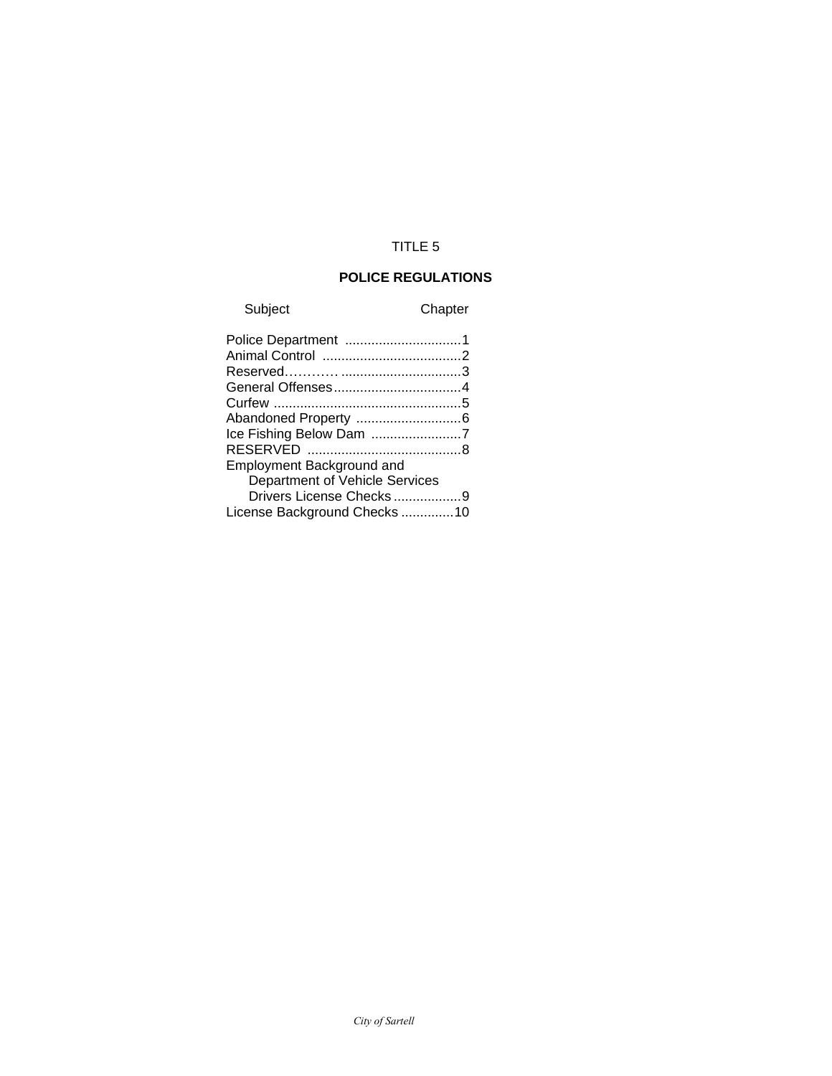# TITLE 5

# **POLICE REGULATIONS**

Subject Chapter

| Ice Fishing Below Dam 7     |
|-----------------------------|
|                             |
|                             |
|                             |
| Drivers License Checks9     |
| License Background Checks10 |
|                             |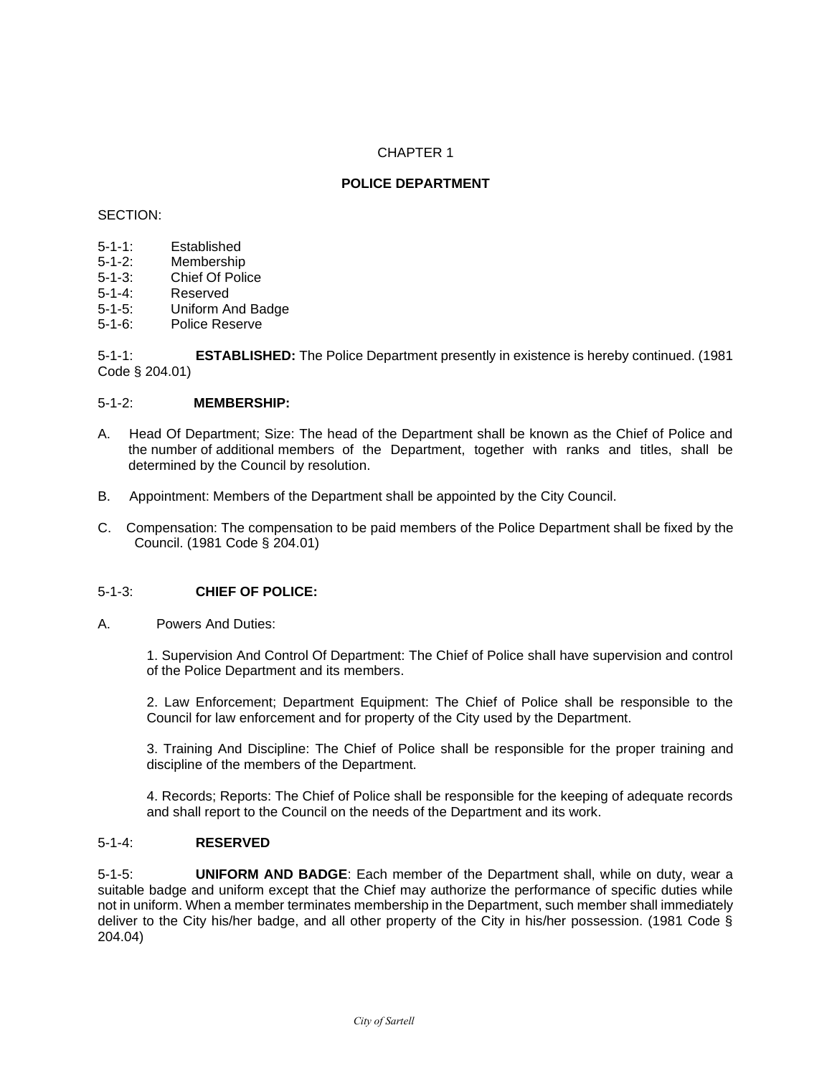# **POLICE DEPARTMENT**

#### SECTION:

- 5-1-1: Established
- 5-1-2: Membership
- 5-1-3: Chief Of Police
- 5-1-4: Reserved
- 5-1-5: Uniform And Badge
- 5-1-6: Police Reserve

5-1-1: **ESTABLISHED:** The Police Department presently in existence is hereby continued. (1981 Code § 204.01)

# 5-1-2: **MEMBERSHIP:**

- A. Head Of Department; Size: The head of the Department shall be known as the Chief of Police and the number of additional members of the Department, together with ranks and titles, shall be determined by the Council by resolution.
- B. Appointment: Members of the Department shall be appointed by the City Council.
- C. Compensation: The compensation to be paid members of the Police Department shall be fixed by the Council. (1981 Code § 204.01)

# 5-1-3: **CHIEF OF POLICE:**

A. Powers And Duties:

1. Supervision And Control Of Department: The Chief of Police shall have supervision and control of the Police Department and its members.

2. Law Enforcement; Department Equipment: The Chief of Police shall be responsible to the Council for law enforcement and for property of the City used by the Department.

3. Training And Discipline: The Chief of Police shall be responsible for the proper training and discipline of the members of the Department.

4. Records; Reports: The Chief of Police shall be responsible for the keeping of adequate records and shall report to the Council on the needs of the Department and its work.

# 5-1-4: **RESERVED**

5-1-5: **UNIFORM AND BADGE**: Each member of the Department shall, while on duty, wear a suitable badge and uniform except that the Chief may authorize the performance of specific duties while not in uniform. When a member terminates membership in the Department, such member shall immediately deliver to the City his/her badge, and all other property of the City in his/her possession. (1981 Code § 204.04)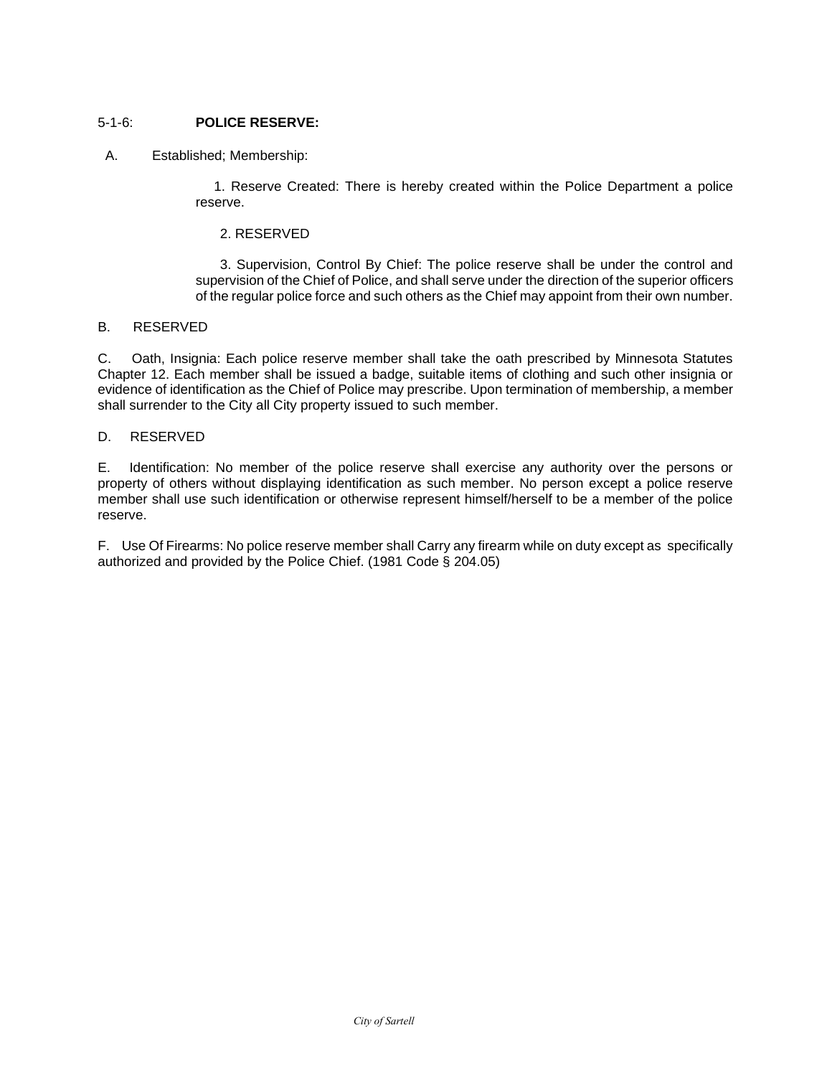# 5-1-6: **POLICE RESERVE:**

# A. Established; Membership:

1. Reserve Created: There is hereby created within the Police Department a police reserve.

# 2. RESERVED

3. Supervision, Control By Chief: The police reserve shall be under the control and supervision of the Chief of Police, and shall serve under the direction of the superior officers of the regular police force and such others as the Chief may appoint from their own number.

# B. RESERVED

C. Oath, Insignia: Each police reserve member shall take the oath prescribed by Minnesota Statutes Chapter 12. Each member shall be issued a badge, suitable items of clothing and such other insignia or evidence of identification as the Chief of Police may prescribe. Upon termination of membership, a member shall surrender to the City all City property issued to such member.

# D. RESERVED

E. Identification: No member of the police reserve shall exercise any authority over the persons or property of others without displaying identification as such member. No person except a police reserve member shall use such identification or otherwise represent himself/herself to be a member of the police reserve.

F. Use Of Firearms: No police reserve member shall Carry any firearm while on duty except as specifically authorized and provided by the Police Chief. (1981 Code § 204.05)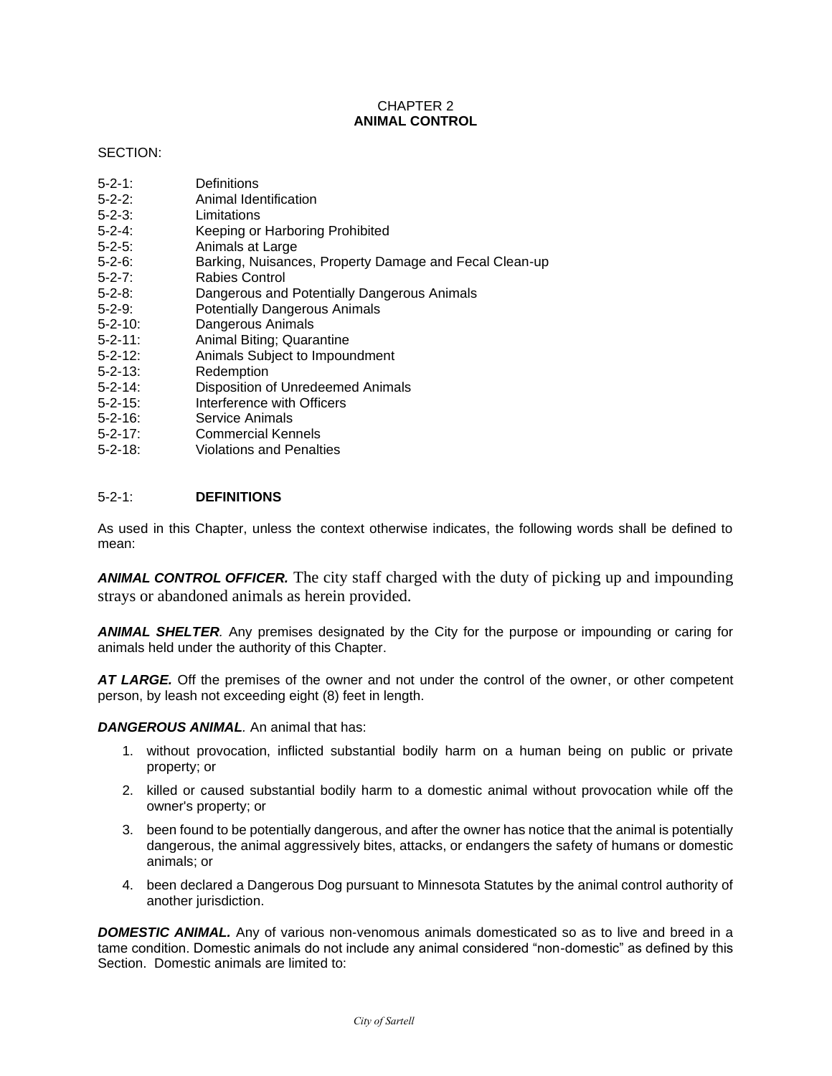# CHAPTER 2 **ANIMAL CONTROL**

# SECTION:

| 5-2-1:         | Definitions                                            |
|----------------|--------------------------------------------------------|
| 5-2-2:         | Animal Identification                                  |
| 5-2-3:         | Limitations                                            |
| $5 - 2 - 4$ :  | Keeping or Harboring Prohibited                        |
| $5 - 2 - 5$ :  | Animals at Large                                       |
| 5-2-6:         | Barking, Nuisances, Property Damage and Fecal Clean-up |
| 5-2-7:         | Rabies Control                                         |
| 5-2-8:         | Dangerous and Potentially Dangerous Animals            |
| 5-2-9:         | <b>Potentially Dangerous Animals</b>                   |
| $5 - 2 - 10$ : | Dangerous Animals                                      |
| 5-2-11:        | Animal Biting; Quarantine                              |
| 5-2-12:        | Animals Subject to Impoundment                         |
| 5-2-13:        | Redemption                                             |
| 5-2-14:        | Disposition of Unredeemed Animals                      |
| 5-2-15:        | Interference with Officers                             |
| 5-2-16:        | Service Animals                                        |
| 5-2-17:        | Commercial Kennels                                     |
| 5-2-18:        | <b>Violations and Penalties</b>                        |
|                |                                                        |
|                |                                                        |

# 5-2-1: **DEFINITIONS**

As used in this Chapter, unless the context otherwise indicates, the following words shall be defined to mean:

*ANIMAL CONTROL OFFICER.* The city staff charged with the duty of picking up and impounding strays or abandoned animals as herein provided.

*ANIMAL SHELTER.* Any premises designated by the City for the purpose or impounding or caring for animals held under the authority of this Chapter.

*AT LARGE.* Off the premises of the owner and not under the control of the owner, or other competent person, by leash not exceeding eight (8) feet in length.

# *DANGEROUS ANIMAL.* An animal that has:

- 1. without provocation, inflicted substantial bodily harm on a human being on public or private property; or
- 2. killed or caused substantial bodily harm to a domestic animal without provocation while off the owner's property; or
- 3. been found to be potentially dangerous, and after the owner has notice that the animal is potentially dangerous, the animal aggressively bites, attacks, or endangers the safety of humans or domestic animals; or
- 4. been declared a Dangerous Dog pursuant to Minnesota Statutes by the animal control authority of another jurisdiction.

**DOMESTIC ANIMAL.** Any of various non-venomous animals domesticated so as to live and breed in a tame condition. Domestic animals do not include any animal considered "non-domestic" as defined by this Section. Domestic animals are limited to: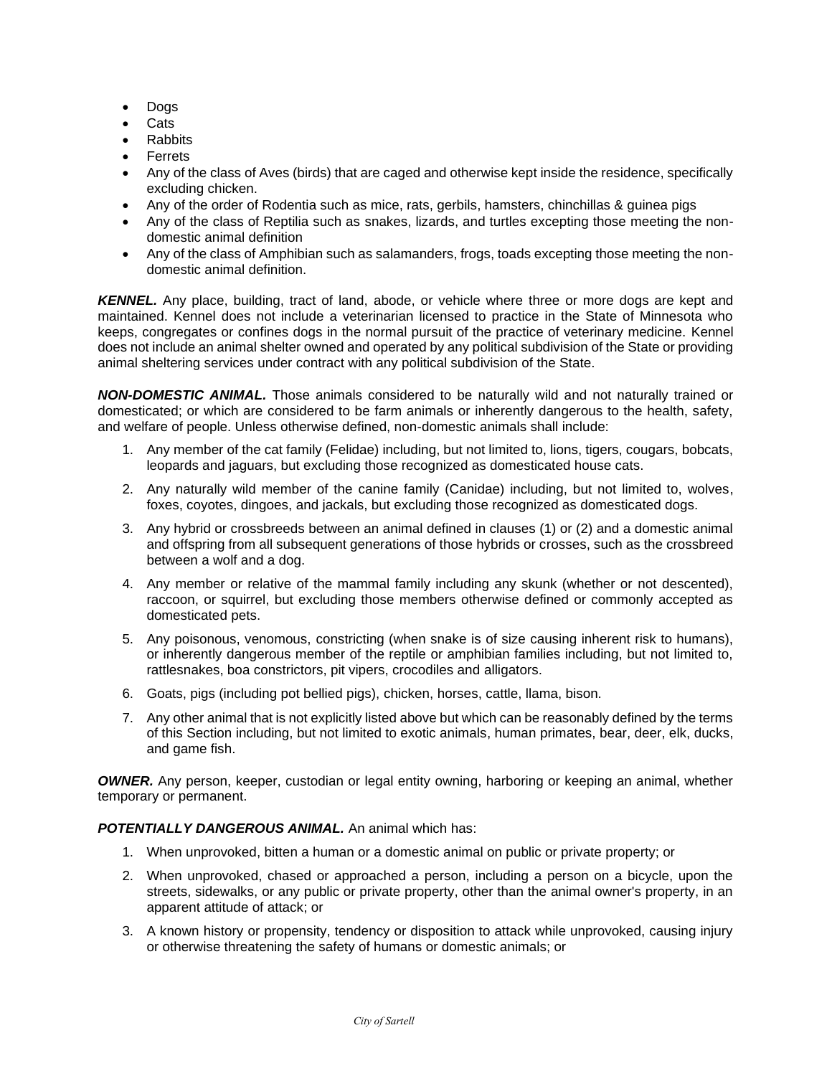- Dogs
- Cats
- Rabbits
- Ferrets
- Any of the class of Aves (birds) that are caged and otherwise kept inside the residence, specifically excluding chicken.
- Any of the order of Rodentia such as mice, rats, gerbils, hamsters, chinchillas & guinea pigs
- Any of the class of Reptilia such as snakes, lizards, and turtles excepting those meeting the nondomestic animal definition
- Any of the class of Amphibian such as salamanders, frogs, toads excepting those meeting the nondomestic animal definition.

*KENNEL.* Any place, building, tract of land, abode, or vehicle where three or more dogs are kept and maintained. Kennel does not include a veterinarian licensed to practice in the State of Minnesota who keeps, congregates or confines dogs in the normal pursuit of the practice of veterinary medicine. Kennel does not include an animal shelter owned and operated by any political subdivision of the State or providing animal sheltering services under contract with any political subdivision of the State.

*NON-DOMESTIC ANIMAL.* Those animals considered to be naturally wild and not naturally trained or domesticated; or which are considered to be farm animals or inherently dangerous to the health, safety, and welfare of people. Unless otherwise defined, non-domestic animals shall include:

- 1. Any member of the cat family (Felidae) including, but not limited to, lions, tigers, cougars, bobcats, leopards and jaguars, but excluding those recognized as domesticated house cats.
- 2. Any naturally wild member of the canine family (Canidae) including, but not limited to, wolves, foxes, coyotes, dingoes, and jackals, but excluding those recognized as domesticated dogs.
- 3. Any hybrid or crossbreeds between an animal defined in clauses (1) or (2) and a domestic animal and offspring from all subsequent generations of those hybrids or crosses, such as the crossbreed between a wolf and a dog.
- 4. Any member or relative of the mammal family including any skunk (whether or not descented), raccoon, or squirrel, but excluding those members otherwise defined or commonly accepted as domesticated pets.
- 5. Any poisonous, venomous, constricting (when snake is of size causing inherent risk to humans), or inherently dangerous member of the reptile or amphibian families including, but not limited to, rattlesnakes, boa constrictors, pit vipers, crocodiles and alligators.
- 6. Goats, pigs (including pot bellied pigs), chicken, horses, cattle, llama, bison.
- 7. Any other animal that is not explicitly listed above but which can be reasonably defined by the terms of this Section including, but not limited to exotic animals, human primates, bear, deer, elk, ducks, and game fish.

*OWNER.* Any person, keeper, custodian or legal entity owning, harboring or keeping an animal, whether temporary or permanent.

# *POTENTIALLY DANGEROUS ANIMAL.* An animal which has:

- 1. When unprovoked, bitten a human or a domestic animal on public or private property; or
- 2. When unprovoked, chased or approached a person, including a person on a bicycle, upon the streets, sidewalks, or any public or private property, other than the animal owner's property, in an apparent attitude of attack; or
- 3. A known history or propensity, tendency or disposition to attack while unprovoked, causing injury or otherwise threatening the safety of humans or domestic animals; or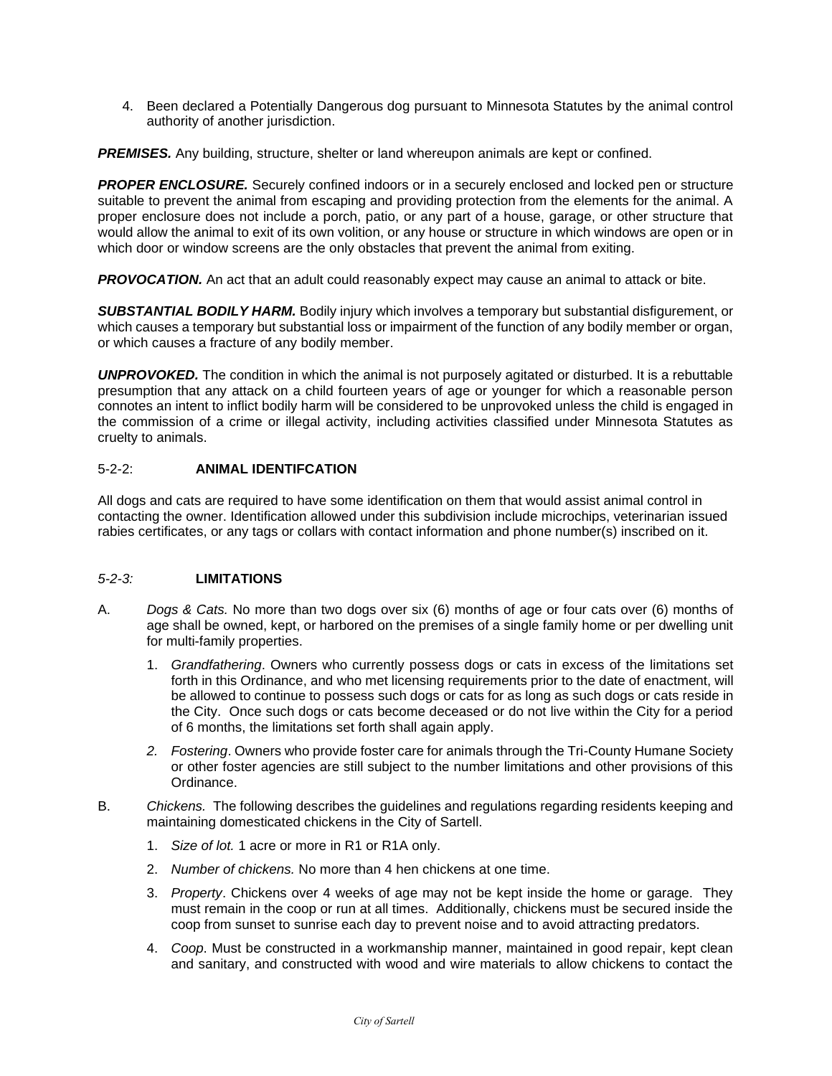4. Been declared a Potentially Dangerous dog pursuant to Minnesota Statutes by the animal control authority of another jurisdiction.

*PREMISES.* Any building, structure, shelter or land whereupon animals are kept or confined.

**PROPER ENCLOSURE.** Securely confined indoors or in a securely enclosed and locked pen or structure suitable to prevent the animal from escaping and providing protection from the elements for the animal. A proper enclosure does not include a porch, patio, or any part of a house, garage, or other structure that would allow the animal to exit of its own volition, or any house or structure in which windows are open or in which door or window screens are the only obstacles that prevent the animal from exiting.

**PROVOCATION.** An act that an adult could reasonably expect may cause an animal to attack or bite.

*SUBSTANTIAL BODILY HARM.* Bodily injury which involves a temporary but substantial disfigurement, or which causes a temporary but substantial loss or impairment of the function of any bodily member or organ, or which causes a fracture of any bodily member.

*UNPROVOKED.* The condition in which the animal is not purposely agitated or disturbed. It is a rebuttable presumption that any attack on a child fourteen years of age or younger for which a reasonable person connotes an intent to inflict bodily harm will be considered to be unprovoked unless the child is engaged in the commission of a crime or illegal activity, including activities classified under Minnesota Statutes as cruelty to animals.

# 5-2-2: **ANIMAL IDENTIFCATION**

All dogs and cats are required to have some identification on them that would assist animal control in contacting the owner. Identification allowed under this subdivision include microchips, veterinarian issued rabies certificates, or any tags or collars with contact information and phone number(s) inscribed on it.

# *5-2-3:* **LIMITATIONS**

- A. *Dogs & Cats.* No more than two dogs over six (6) months of age or four cats over (6) months of age shall be owned, kept, or harbored on the premises of a single family home or per dwelling unit for multi-family properties.
	- 1. *Grandfathering*. Owners who currently possess dogs or cats in excess of the limitations set forth in this Ordinance, and who met licensing requirements prior to the date of enactment, will be allowed to continue to possess such dogs or cats for as long as such dogs or cats reside in the City. Once such dogs or cats become deceased or do not live within the City for a period of 6 months, the limitations set forth shall again apply.
	- *2. Fostering*. Owners who provide foster care for animals through the Tri-County Humane Society or other foster agencies are still subject to the number limitations and other provisions of this Ordinance.
- B. *Chickens.* The following describes the guidelines and regulations regarding residents keeping and maintaining domesticated chickens in the City of Sartell.
	- 1. *Size of lot.* 1 acre or more in R1 or R1A only.
	- 2. *Number of chickens.* No more than 4 hen chickens at one time.
	- 3. *Property*. Chickens over 4 weeks of age may not be kept inside the home or garage. They must remain in the coop or run at all times. Additionally, chickens must be secured inside the coop from sunset to sunrise each day to prevent noise and to avoid attracting predators.
	- 4. *Coop*. Must be constructed in a workmanship manner, maintained in good repair, kept clean and sanitary, and constructed with wood and wire materials to allow chickens to contact the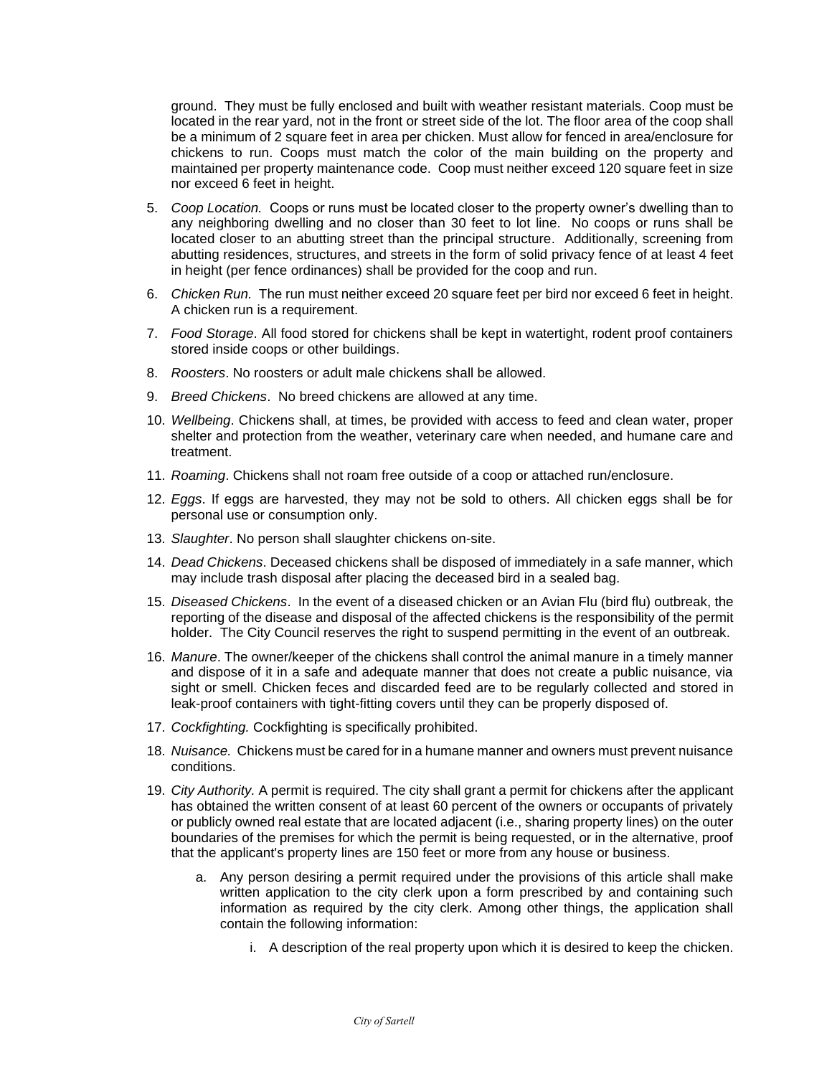ground. They must be fully enclosed and built with weather resistant materials. Coop must be located in the rear yard, not in the front or street side of the lot. The floor area of the coop shall be a minimum of 2 square feet in area per chicken. Must allow for fenced in area/enclosure for chickens to run. Coops must match the color of the main building on the property and maintained per property maintenance code. Coop must neither exceed 120 square feet in size nor exceed 6 feet in height.

- 5. *Coop Location.* Coops or runs must be located closer to the property owner's dwelling than to any neighboring dwelling and no closer than 30 feet to lot line. No coops or runs shall be located closer to an abutting street than the principal structure. Additionally, screening from abutting residences, structures, and streets in the form of solid privacy fence of at least 4 feet in height (per fence ordinances) shall be provided for the coop and run.
- 6. *Chicken Run.* The run must neither exceed 20 square feet per bird nor exceed 6 feet in height. A chicken run is a requirement.
- 7. *Food Storage*. All food stored for chickens shall be kept in watertight, rodent proof containers stored inside coops or other buildings.
- 8. *Roosters*. No roosters or adult male chickens shall be allowed.
- 9. *Breed Chickens*. No breed chickens are allowed at any time.
- 10. *Wellbeing*. Chickens shall, at times, be provided with access to feed and clean water, proper shelter and protection from the weather, veterinary care when needed, and humane care and treatment.
- 11. *Roaming*. Chickens shall not roam free outside of a coop or attached run/enclosure.
- 12. *Eggs*. If eggs are harvested, they may not be sold to others. All chicken eggs shall be for personal use or consumption only.
- 13. *Slaughter*. No person shall slaughter chickens on-site.
- 14. *Dead Chickens*. Deceased chickens shall be disposed of immediately in a safe manner, which may include trash disposal after placing the deceased bird in a sealed bag.
- 15. *Diseased Chickens*. In the event of a diseased chicken or an Avian Flu (bird flu) outbreak, the reporting of the disease and disposal of the affected chickens is the responsibility of the permit holder. The City Council reserves the right to suspend permitting in the event of an outbreak.
- 16. *Manure*. The owner/keeper of the chickens shall control the animal manure in a timely manner and dispose of it in a safe and adequate manner that does not create a public nuisance, via sight or smell. Chicken feces and discarded feed are to be regularly collected and stored in leak-proof containers with tight-fitting covers until they can be properly disposed of.
- 17. *Cockfighting.* Cockfighting is specifically prohibited.
- 18. *Nuisance.* Chickens must be cared for in a humane manner and owners must prevent nuisance conditions.
- 19. *City Authority.* A permit is required. The city shall grant a permit for chickens after the applicant has obtained the written consent of at least 60 percent of the owners or occupants of privately or publicly owned real estate that are located adjacent (i.e., sharing property lines) on the outer boundaries of the premises for which the permit is being requested, or in the alternative, proof that the applicant's property lines are 150 feet or more from any house or business.
	- a. Any person desiring a permit required under the provisions of this article shall make written application to the city clerk upon a form prescribed by and containing such information as required by the city clerk. Among other things, the application shall contain the following information:
		- i. A description of the real property upon which it is desired to keep the chicken.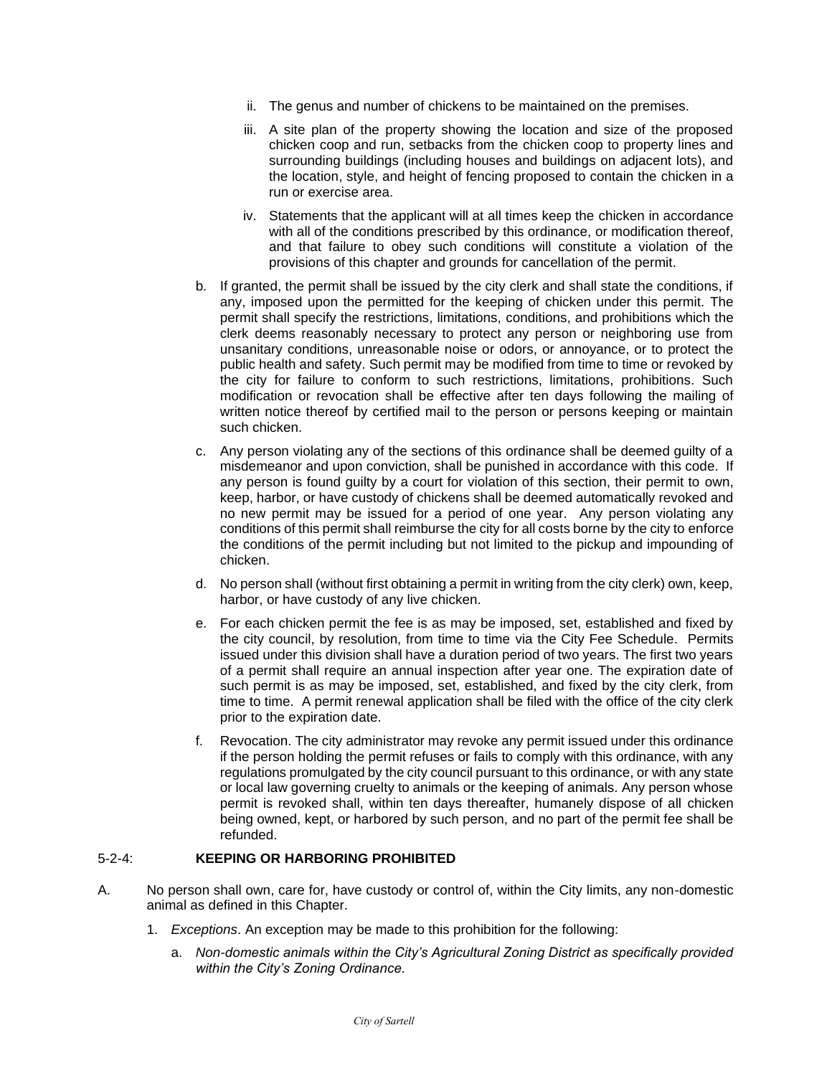- ii. The genus and number of chickens to be maintained on the premises.
- iii. A site plan of the property showing the location and size of the proposed chicken coop and run, setbacks from the chicken coop to property lines and surrounding buildings (including houses and buildings on adjacent lots), and the location, style, and height of fencing proposed to contain the chicken in a run or exercise area.
- iv. Statements that the applicant will at all times keep the chicken in accordance with all of the conditions prescribed by this ordinance, or modification thereof, and that failure to obey such conditions will constitute a violation of the provisions of this chapter and grounds for cancellation of the permit.
- b. If granted, the permit shall be issued by the city clerk and shall state the conditions, if any, imposed upon the permitted for the keeping of chicken under this permit. The permit shall specify the restrictions, limitations, conditions, and prohibitions which the clerk deems reasonably necessary to protect any person or neighboring use from unsanitary conditions, unreasonable noise or odors, or annoyance, or to protect the public health and safety. Such permit may be modified from time to time or revoked by the city for failure to conform to such restrictions, limitations, prohibitions. Such modification or revocation shall be effective after ten days following the mailing of written notice thereof by certified mail to the person or persons keeping or maintain such chicken.
- c. Any person violating any of the sections of this ordinance shall be deemed guilty of a misdemeanor and upon conviction, shall be punished in accordance with this code. If any person is found guilty by a court for violation of this section, their permit to own, keep, harbor, or have custody of chickens shall be deemed automatically revoked and no new permit may be issued for a period of one year. Any person violating any conditions of this permit shall reimburse the city for all costs borne by the city to enforce the conditions of the permit including but not limited to the pickup and impounding of chicken.
- d. No person shall (without first obtaining a permit in writing from the city clerk) own, keep, harbor, or have custody of any live chicken.
- e. For each chicken permit the fee is as may be imposed, set, established and fixed by the city council, by resolution, from time to time via the City Fee Schedule. Permits issued under this division shall have a duration period of two years. The first two years of a permit shall require an annual inspection after year one. The expiration date of such permit is as may be imposed, set, established, and fixed by the city clerk, from time to time. A permit renewal application shall be filed with the office of the city clerk prior to the expiration date.
- f. Revocation. The city administrator may revoke any permit issued under this ordinance if the person holding the permit refuses or fails to comply with this ordinance, with any regulations promulgated by the city council pursuant to this ordinance, or with any state or local law governing cruelty to animals or the keeping of animals. Any person whose permit is revoked shall, within ten days thereafter, humanely dispose of all chicken being owned, kept, or harbored by such person, and no part of the permit fee shall be refunded.

# 5-2-4: **KEEPING OR HARBORING PROHIBITED**

- A. No person shall own, care for, have custody or control of, within the City limits, any non-domestic animal as defined in this Chapter.
	- 1. *Exceptions*. An exception may be made to this prohibition for the following:
		- a. *Non-domestic animals within the City's Agricultural Zoning District as specifically provided within the City's Zoning Ordinance.*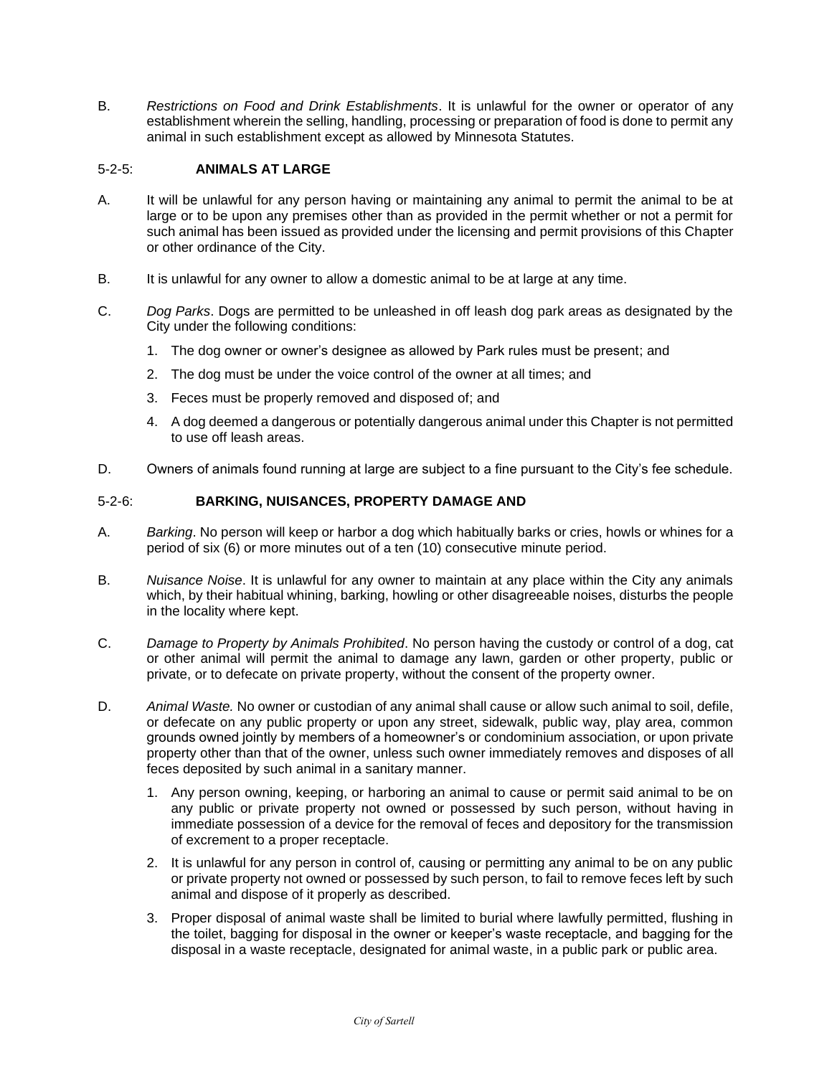B. *Restrictions on Food and Drink Establishments*. It is unlawful for the owner or operator of any establishment wherein the selling, handling, processing or preparation of food is done to permit any animal in such establishment except as allowed by Minnesota Statutes.

# 5-2-5: **ANIMALS AT LARGE**

- A. It will be unlawful for any person having or maintaining any animal to permit the animal to be at large or to be upon any premises other than as provided in the permit whether or not a permit for such animal has been issued as provided under the licensing and permit provisions of this Chapter or other ordinance of the City.
- B. It is unlawful for any owner to allow a domestic animal to be at large at any time.
- C. *Dog Parks*. Dogs are permitted to be unleashed in off leash dog park areas as designated by the City under the following conditions:
	- 1. The dog owner or owner's designee as allowed by Park rules must be present; and
	- 2. The dog must be under the voice control of the owner at all times; and
	- 3. Feces must be properly removed and disposed of; and
	- 4. A dog deemed a dangerous or potentially dangerous animal under this Chapter is not permitted to use off leash areas.
- D. Owners of animals found running at large are subject to a fine pursuant to the City's fee schedule.

# 5-2-6: **BARKING, NUISANCES, PROPERTY DAMAGE AND**

- A. *Barking*. No person will keep or harbor a dog which habitually barks or cries, howls or whines for a period of six (6) or more minutes out of a ten (10) consecutive minute period.
- B. *Nuisance Noise*. It is unlawful for any owner to maintain at any place within the City any animals which, by their habitual whining, barking, howling or other disagreeable noises, disturbs the people in the locality where kept.
- C. *Damage to Property by Animals Prohibited*. No person having the custody or control of a dog, cat or other animal will permit the animal to damage any lawn, garden or other property, public or private, or to defecate on private property, without the consent of the property owner.
- D. *Animal Waste.* No owner or custodian of any animal shall cause or allow such animal to soil, defile, or defecate on any public property or upon any street, sidewalk, public way, play area, common grounds owned jointly by members of a homeowner's or condominium association, or upon private property other than that of the owner, unless such owner immediately removes and disposes of all feces deposited by such animal in a sanitary manner.
	- 1. Any person owning, keeping, or harboring an animal to cause or permit said animal to be on any public or private property not owned or possessed by such person, without having in immediate possession of a device for the removal of feces and depository for the transmission of excrement to a proper receptacle.
	- 2. It is unlawful for any person in control of, causing or permitting any animal to be on any public or private property not owned or possessed by such person, to fail to remove feces left by such animal and dispose of it properly as described.
	- 3. Proper disposal of animal waste shall be limited to burial where lawfully permitted, flushing in the toilet, bagging for disposal in the owner or keeper's waste receptacle, and bagging for the disposal in a waste receptacle, designated for animal waste, in a public park or public area.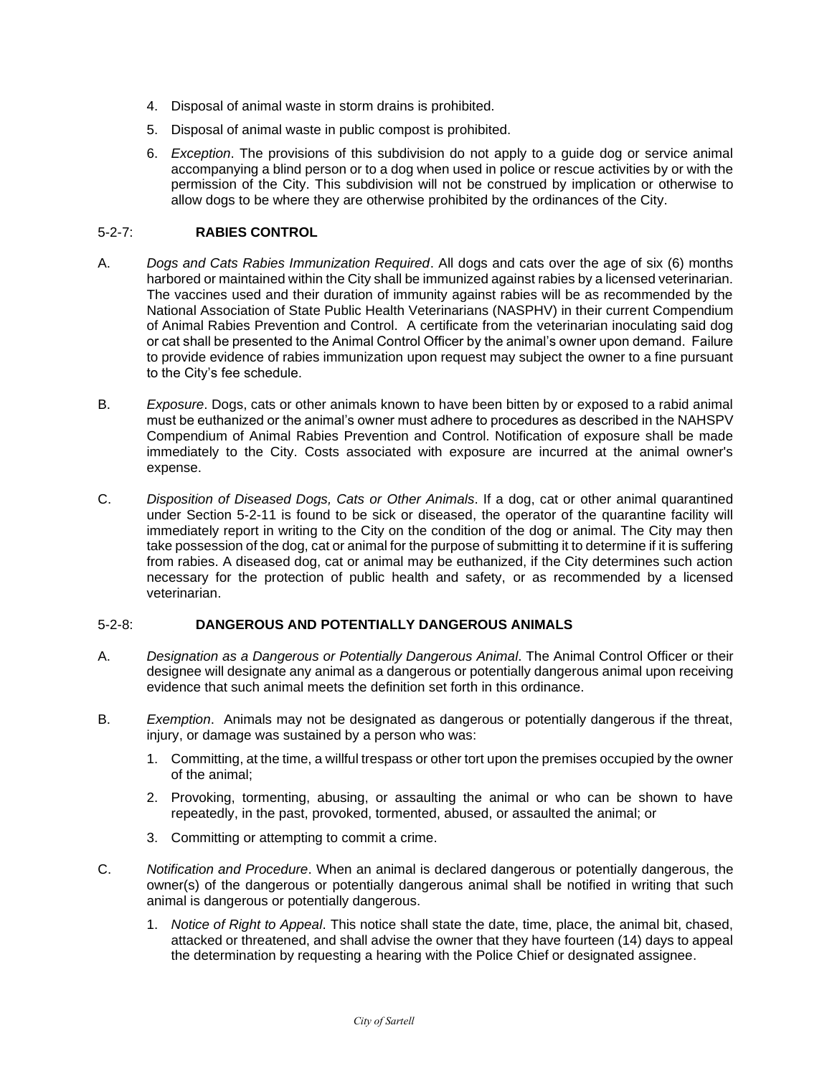- 4. Disposal of animal waste in storm drains is prohibited.
- 5. Disposal of animal waste in public compost is prohibited.
- 6. *Exception*. The provisions of this subdivision do not apply to a guide dog or service animal accompanying a blind person or to a dog when used in police or rescue activities by or with the permission of the City. This subdivision will not be construed by implication or otherwise to allow dogs to be where they are otherwise prohibited by the ordinances of the City.

# 5-2-7: **RABIES CONTROL**

- A. *Dogs and Cats Rabies Immunization Required*. All dogs and cats over the age of six (6) months harbored or maintained within the City shall be immunized against rabies by a licensed veterinarian. The vaccines used and their duration of immunity against rabies will be as recommended by the National Association of State Public Health Veterinarians (NASPHV) in their current Compendium of Animal Rabies Prevention and Control. A certificate from the veterinarian inoculating said dog or cat shall be presented to the Animal Control Officer by the animal's owner upon demand. Failure to provide evidence of rabies immunization upon request may subject the owner to a fine pursuant to the City's fee schedule.
- B. *Exposure*. Dogs, cats or other animals known to have been bitten by or exposed to a rabid animal must be euthanized or the animal's owner must adhere to procedures as described in the NAHSPV Compendium of Animal Rabies Prevention and Control. Notification of exposure shall be made immediately to the City. Costs associated with exposure are incurred at the animal owner's expense.
- C. *Disposition of Diseased Dogs, Cats or Other Animals*. If a dog, cat or other animal quarantined under Section 5-2-11 is found to be sick or diseased, the operator of the quarantine facility will immediately report in writing to the City on the condition of the dog or animal. The City may then take possession of the dog, cat or animal for the purpose of submitting it to determine if it is suffering from rabies. A diseased dog, cat or animal may be euthanized, if the City determines such action necessary for the protection of public health and safety, or as recommended by a licensed veterinarian.

# 5-2-8: **DANGEROUS AND POTENTIALLY DANGEROUS ANIMALS**

- A. *Designation as a Dangerous or Potentially Dangerous Animal*. The Animal Control Officer or their designee will designate any animal as a dangerous or potentially dangerous animal upon receiving evidence that such animal meets the definition set forth in this ordinance.
- B. *Exemption*. Animals may not be designated as dangerous or potentially dangerous if the threat, injury, or damage was sustained by a person who was:
	- 1. Committing, at the time, a willful trespass or other tort upon the premises occupied by the owner of the animal;
	- 2. Provoking, tormenting, abusing, or assaulting the animal or who can be shown to have repeatedly, in the past, provoked, tormented, abused, or assaulted the animal; or
	- 3. Committing or attempting to commit a crime.
- C. *Notification and Procedure*. When an animal is declared dangerous or potentially dangerous, the owner(s) of the dangerous or potentially dangerous animal shall be notified in writing that such animal is dangerous or potentially dangerous.
	- 1. *Notice of Right to Appeal*. This notice shall state the date, time, place, the animal bit, chased, attacked or threatened, and shall advise the owner that they have fourteen (14) days to appeal the determination by requesting a hearing with the Police Chief or designated assignee.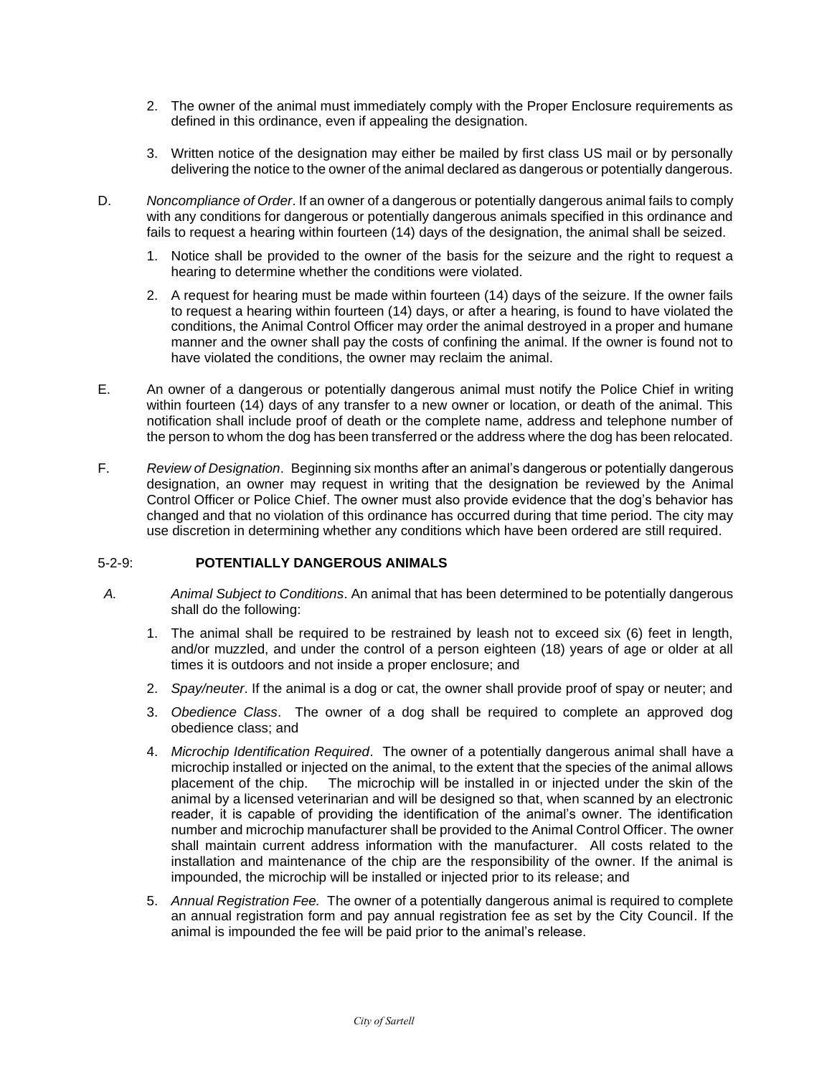- 2. The owner of the animal must immediately comply with the Proper Enclosure requirements as defined in this ordinance, even if appealing the designation.
- 3. Written notice of the designation may either be mailed by first class US mail or by personally delivering the notice to the owner of the animal declared as dangerous or potentially dangerous.
- D. *Noncompliance of Order*. If an owner of a dangerous or potentially dangerous animal fails to comply with any conditions for dangerous or potentially dangerous animals specified in this ordinance and fails to request a hearing within fourteen (14) days of the designation, the animal shall be seized.
	- 1. Notice shall be provided to the owner of the basis for the seizure and the right to request a hearing to determine whether the conditions were violated.
	- 2. A request for hearing must be made within fourteen (14) days of the seizure. If the owner fails to request a hearing within fourteen (14) days, or after a hearing, is found to have violated the conditions, the Animal Control Officer may order the animal destroyed in a proper and humane manner and the owner shall pay the costs of confining the animal. If the owner is found not to have violated the conditions, the owner may reclaim the animal.
- E. An owner of a dangerous or potentially dangerous animal must notify the Police Chief in writing within fourteen (14) days of any transfer to a new owner or location, or death of the animal. This notification shall include proof of death or the complete name, address and telephone number of the person to whom the dog has been transferred or the address where the dog has been relocated.
- F. *Review of Designation*. Beginning six months after an animal's dangerous or potentially dangerous designation, an owner may request in writing that the designation be reviewed by the Animal Control Officer or Police Chief. The owner must also provide evidence that the dog's behavior has changed and that no violation of this ordinance has occurred during that time period. The city may use discretion in determining whether any conditions which have been ordered are still required.

# 5-2-9: **POTENTIALLY DANGEROUS ANIMALS**

- *A. Animal Subject to Conditions*. An animal that has been determined to be potentially dangerous shall do the following:
	- 1. The animal shall be required to be restrained by leash not to exceed six (6) feet in length, and/or muzzled, and under the control of a person eighteen (18) years of age or older at all times it is outdoors and not inside a proper enclosure; and
	- 2. *Spay/neuter*. If the animal is a dog or cat, the owner shall provide proof of spay or neuter; and
	- 3. *Obedience Class*. The owner of a dog shall be required to complete an approved dog obedience class; and
	- 4. *Microchip Identification Required*. The owner of a potentially dangerous animal shall have a microchip installed or injected on the animal, to the extent that the species of the animal allows placement of the chip. The microchip will be installed in or injected under the skin of the animal by a licensed veterinarian and will be designed so that, when scanned by an electronic reader, it is capable of providing the identification of the animal's owner. The identification number and microchip manufacturer shall be provided to the Animal Control Officer. The owner shall maintain current address information with the manufacturer. All costs related to the installation and maintenance of the chip are the responsibility of the owner. If the animal is impounded, the microchip will be installed or injected prior to its release; and
	- 5. *Annual Registration Fee.* The owner of a potentially dangerous animal is required to complete an annual registration form and pay annual registration fee as set by the City Council. If the animal is impounded the fee will be paid prior to the animal's release.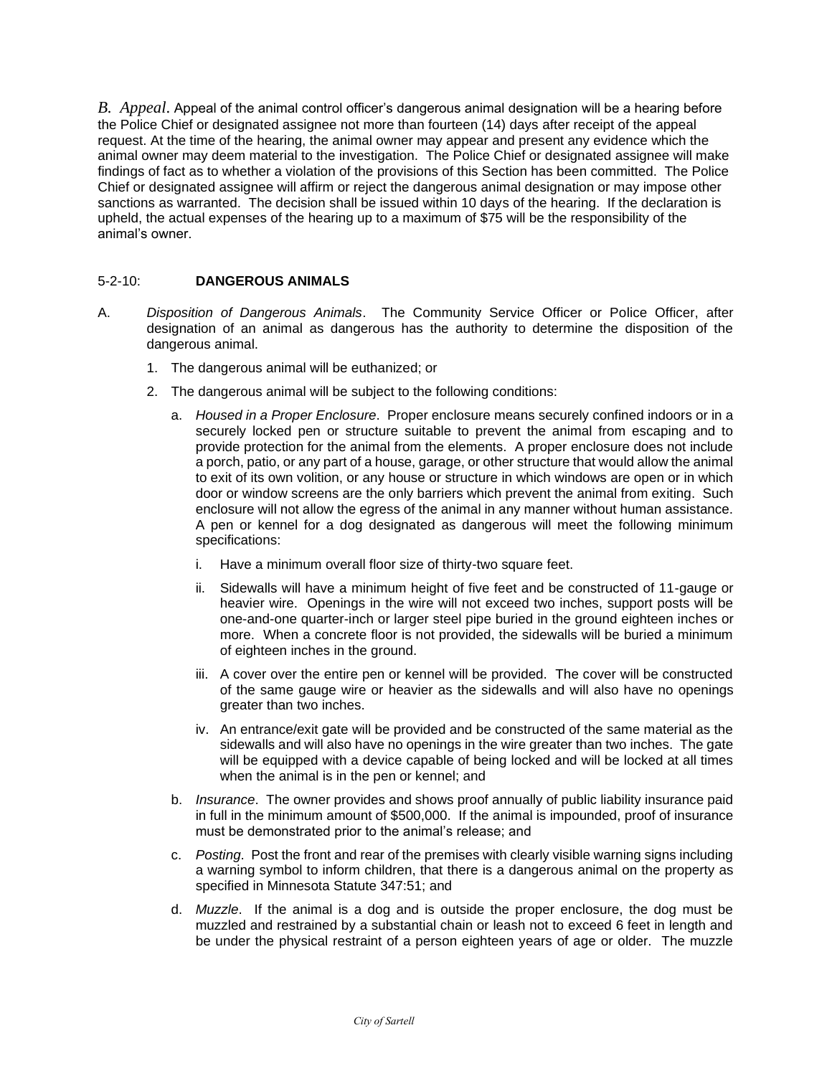*B. Appeal*. Appeal of the animal control officer's dangerous animal designation will be a hearing before the Police Chief or designated assignee not more than fourteen (14) days after receipt of the appeal request. At the time of the hearing, the animal owner may appear and present any evidence which the animal owner may deem material to the investigation. The Police Chief or designated assignee will make findings of fact as to whether a violation of the provisions of this Section has been committed. The Police Chief or designated assignee will affirm or reject the dangerous animal designation or may impose other sanctions as warranted. The decision shall be issued within 10 days of the hearing. If the declaration is upheld, the actual expenses of the hearing up to a maximum of \$75 will be the responsibility of the animal's owner.

# 5-2-10: **DANGEROUS ANIMALS**

- A. *Disposition of Dangerous Animals*. The Community Service Officer or Police Officer, after designation of an animal as dangerous has the authority to determine the disposition of the dangerous animal.
	- 1. The dangerous animal will be euthanized; or
	- 2. The dangerous animal will be subject to the following conditions:
		- a. *Housed in a Proper Enclosure*. Proper enclosure means securely confined indoors or in a securely locked pen or structure suitable to prevent the animal from escaping and to provide protection for the animal from the elements. A proper enclosure does not include a porch, patio, or any part of a house, garage, or other structure that would allow the animal to exit of its own volition, or any house or structure in which windows are open or in which door or window screens are the only barriers which prevent the animal from exiting. Such enclosure will not allow the egress of the animal in any manner without human assistance. A pen or kennel for a dog designated as dangerous will meet the following minimum specifications:
			- i. Have a minimum overall floor size of thirty-two square feet.
			- ii. Sidewalls will have a minimum height of five feet and be constructed of 11-gauge or heavier wire. Openings in the wire will not exceed two inches, support posts will be one-and-one quarter-inch or larger steel pipe buried in the ground eighteen inches or more. When a concrete floor is not provided, the sidewalls will be buried a minimum of eighteen inches in the ground.
			- iii. A cover over the entire pen or kennel will be provided. The cover will be constructed of the same gauge wire or heavier as the sidewalls and will also have no openings greater than two inches.
			- iv. An entrance/exit gate will be provided and be constructed of the same material as the sidewalls and will also have no openings in the wire greater than two inches. The gate will be equipped with a device capable of being locked and will be locked at all times when the animal is in the pen or kennel; and
		- b. *Insurance*. The owner provides and shows proof annually of public liability insurance paid in full in the minimum amount of \$500,000. If the animal is impounded, proof of insurance must be demonstrated prior to the animal's release; and
		- c. *Posting*. Post the front and rear of the premises with clearly visible warning signs including a warning symbol to inform children, that there is a dangerous animal on the property as specified in Minnesota Statute 347:51; and
		- d. *Muzzle*. If the animal is a dog and is outside the proper enclosure, the dog must be muzzled and restrained by a substantial chain or leash not to exceed 6 feet in length and be under the physical restraint of a person eighteen years of age or older. The muzzle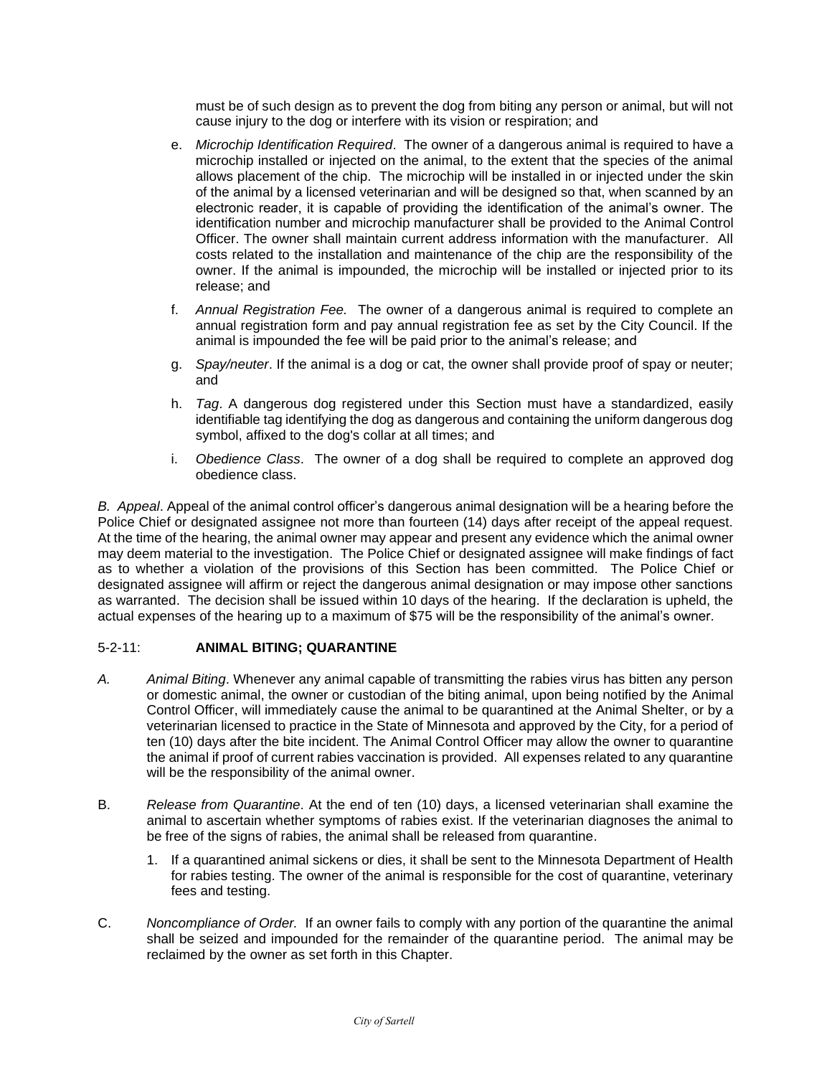must be of such design as to prevent the dog from biting any person or animal, but will not cause injury to the dog or interfere with its vision or respiration; and

- e. *Microchip Identification Required*. The owner of a dangerous animal is required to have a microchip installed or injected on the animal, to the extent that the species of the animal allows placement of the chip. The microchip will be installed in or injected under the skin of the animal by a licensed veterinarian and will be designed so that, when scanned by an electronic reader, it is capable of providing the identification of the animal's owner. The identification number and microchip manufacturer shall be provided to the Animal Control Officer. The owner shall maintain current address information with the manufacturer. All costs related to the installation and maintenance of the chip are the responsibility of the owner. If the animal is impounded, the microchip will be installed or injected prior to its release; and
- f. *Annual Registration Fee.* The owner of a dangerous animal is required to complete an annual registration form and pay annual registration fee as set by the City Council. If the animal is impounded the fee will be paid prior to the animal's release; and
- g. *Spay/neuter*. If the animal is a dog or cat, the owner shall provide proof of spay or neuter; and
- h. *Tag*. A dangerous dog registered under this Section must have a standardized, easily identifiable tag identifying the dog as dangerous and containing the uniform dangerous dog symbol, affixed to the dog's collar at all times; and
- i. *Obedience Class*. The owner of a dog shall be required to complete an approved dog obedience class.

*B. Appeal*. Appeal of the animal control officer's dangerous animal designation will be a hearing before the Police Chief or designated assignee not more than fourteen (14) days after receipt of the appeal request. At the time of the hearing, the animal owner may appear and present any evidence which the animal owner may deem material to the investigation. The Police Chief or designated assignee will make findings of fact as to whether a violation of the provisions of this Section has been committed. The Police Chief or designated assignee will affirm or reject the dangerous animal designation or may impose other sanctions as warranted. The decision shall be issued within 10 days of the hearing. If the declaration is upheld, the actual expenses of the hearing up to a maximum of \$75 will be the responsibility of the animal's owner.

# 5-2-11: **ANIMAL BITING; QUARANTINE**

- *A. Animal Biting*. Whenever any animal capable of transmitting the rabies virus has bitten any person or domestic animal, the owner or custodian of the biting animal, upon being notified by the Animal Control Officer, will immediately cause the animal to be quarantined at the Animal Shelter, or by a veterinarian licensed to practice in the State of Minnesota and approved by the City, for a period of ten (10) days after the bite incident. The Animal Control Officer may allow the owner to quarantine the animal if proof of current rabies vaccination is provided. All expenses related to any quarantine will be the responsibility of the animal owner.
- B. *Release from Quarantine*. At the end of ten (10) days, a licensed veterinarian shall examine the animal to ascertain whether symptoms of rabies exist. If the veterinarian diagnoses the animal to be free of the signs of rabies, the animal shall be released from quarantine.
	- 1. If a quarantined animal sickens or dies, it shall be sent to the Minnesota Department of Health for rabies testing. The owner of the animal is responsible for the cost of quarantine, veterinary fees and testing.
- C. *Noncompliance of Order.* If an owner fails to comply with any portion of the quarantine the animal shall be seized and impounded for the remainder of the quarantine period. The animal may be reclaimed by the owner as set forth in this Chapter.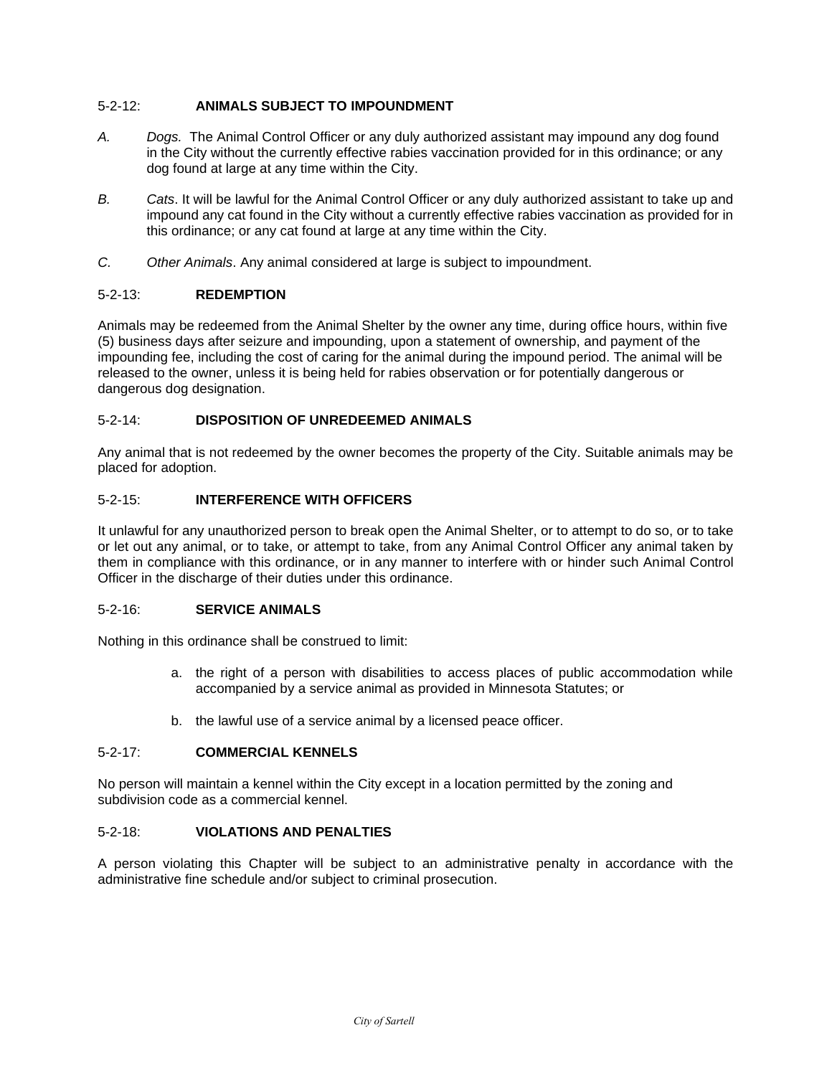# 5-2-12: **ANIMALS SUBJECT TO IMPOUNDMENT**

- *A. Dogs.* The Animal Control Officer or any duly authorized assistant may impound any dog found in the City without the currently effective rabies vaccination provided for in this ordinance; or any dog found at large at any time within the City.
- *B. Cats*. It will be lawful for the Animal Control Officer or any duly authorized assistant to take up and impound any cat found in the City without a currently effective rabies vaccination as provided for in this ordinance; or any cat found at large at any time within the City.
- *C. Other Animals*. Any animal considered at large is subject to impoundment.

# 5-2-13: **REDEMPTION**

Animals may be redeemed from the Animal Shelter by the owner any time, during office hours, within five (5) business days after seizure and impounding, upon a statement of ownership, and payment of the impounding fee, including the cost of caring for the animal during the impound period. The animal will be released to the owner, unless it is being held for rabies observation or for potentially dangerous or dangerous dog designation.

# 5-2-14: **DISPOSITION OF UNREDEEMED ANIMALS**

Any animal that is not redeemed by the owner becomes the property of the City. Suitable animals may be placed for adoption.

# 5-2-15: **INTERFERENCE WITH OFFICERS**

It unlawful for any unauthorized person to break open the Animal Shelter, or to attempt to do so, or to take or let out any animal, or to take, or attempt to take, from any Animal Control Officer any animal taken by them in compliance with this ordinance, or in any manner to interfere with or hinder such Animal Control Officer in the discharge of their duties under this ordinance.

# 5-2-16: **SERVICE ANIMALS**

Nothing in this ordinance shall be construed to limit:

- a. the right of a person with disabilities to access places of public accommodation while accompanied by a service animal as provided in Minnesota Statutes; or
- b. the lawful use of a service animal by a licensed peace officer.

# 5-2-17: **COMMERCIAL KENNELS**

No person will maintain a kennel within the City except in a location permitted by the zoning and subdivision code as a commercial kennel.

# 5-2-18: **VIOLATIONS AND PENALTIES**

A person violating this Chapter will be subject to an administrative penalty in accordance with the administrative fine schedule and/or subject to criminal prosecution.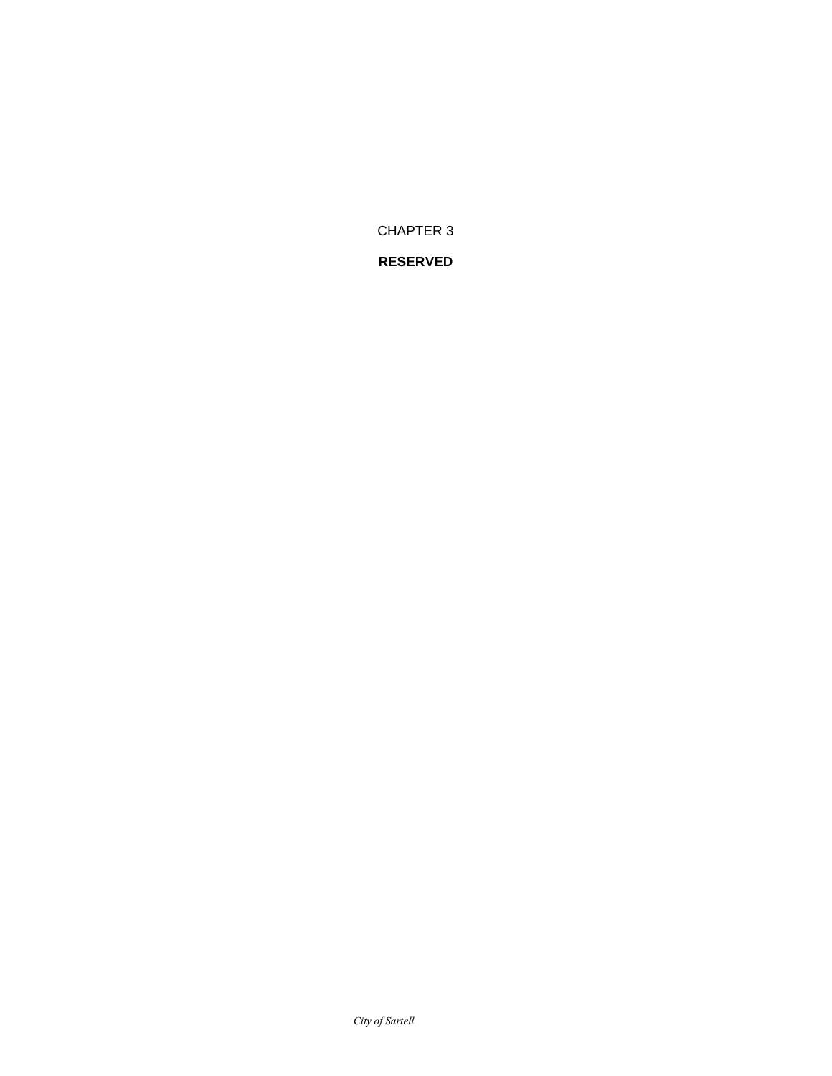*City of Sartell*

CHAPTER 3 **RESERVED**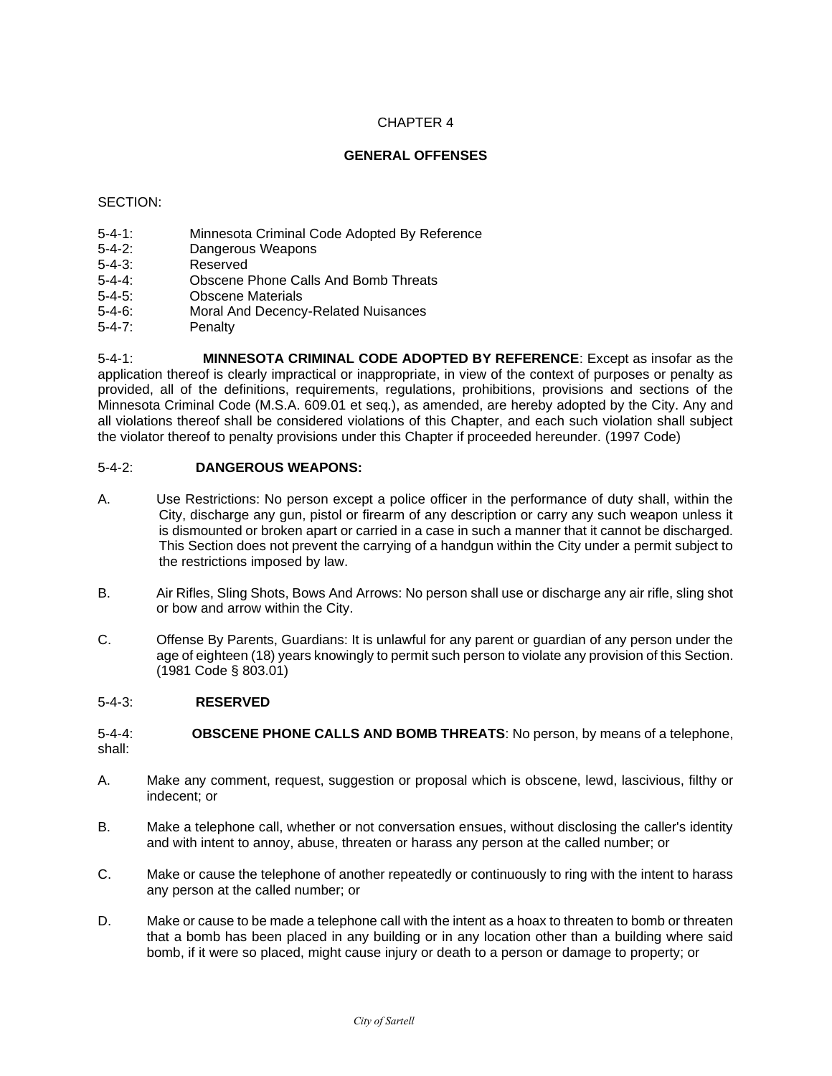# **GENERAL OFFENSES**

# SECTION:

- 5-4-1: Minnesota Criminal Code Adopted By Reference<br>5-4-2: Dangerous Weapons
- Dangerous Weapons
- 5-4-3: Reserved
- 5-4-4: Obscene Phone Calls And Bomb Threats
- 5-4-5: Obscene Materials
- 5-4-6: Moral And Decency-Related Nuisances
- 5-4-7: Penalty

5-4-1: **MINNESOTA CRIMINAL CODE ADOPTED BY REFERENCE**: Except as insofar as the application thereof is clearly impractical or inappropriate, in view of the context of purposes or penalty as provided, all of the definitions, requirements, regulations, prohibitions, provisions and sections of the Minnesota Criminal Code (M.S.A. 609.01 et seq.), as amended, are hereby adopted by the City. Any and all violations thereof shall be considered violations of this Chapter, and each such violation shall subject the violator thereof to penalty provisions under this Chapter if proceeded hereunder. (1997 Code)

# 5-4-2: **DANGEROUS WEAPONS:**

- A. Use Restrictions: No person except a police officer in the performance of duty shall, within the City, discharge any gun, pistol or firearm of any description or carry any such weapon unless it is dismounted or broken apart or carried in a case in such a manner that it cannot be discharged. This Section does not prevent the carrying of a handgun within the City under a permit subject to the restrictions imposed by law.
- B. Air Rifles, Sling Shots, Bows And Arrows: No person shall use or discharge any air rifle, sling shot or bow and arrow within the City.
- C. Offense By Parents, Guardians: It is unlawful for any parent or guardian of any person under the age of eighteen (18) years knowingly to permit such person to violate any provision of this Section. (1981 Code § 803.01)

# 5-4-3: **RESERVED**

5-4-4: **OBSCENE PHONE CALLS AND BOMB THREATS**: No person, by means of a telephone, shall:

- A. Make any comment, request, suggestion or proposal which is obscene, lewd, lascivious, filthy or indecent; or
- B. Make a telephone call, whether or not conversation ensues, without disclosing the caller's identity and with intent to annoy, abuse, threaten or harass any person at the called number; or
- C. Make or cause the telephone of another repeatedly or continuously to ring with the intent to harass any person at the called number; or
- D. Make or cause to be made a telephone call with the intent as a hoax to threaten to bomb or threaten that a bomb has been placed in any building or in any location other than a building where said bomb, if it were so placed, might cause injury or death to a person or damage to property; or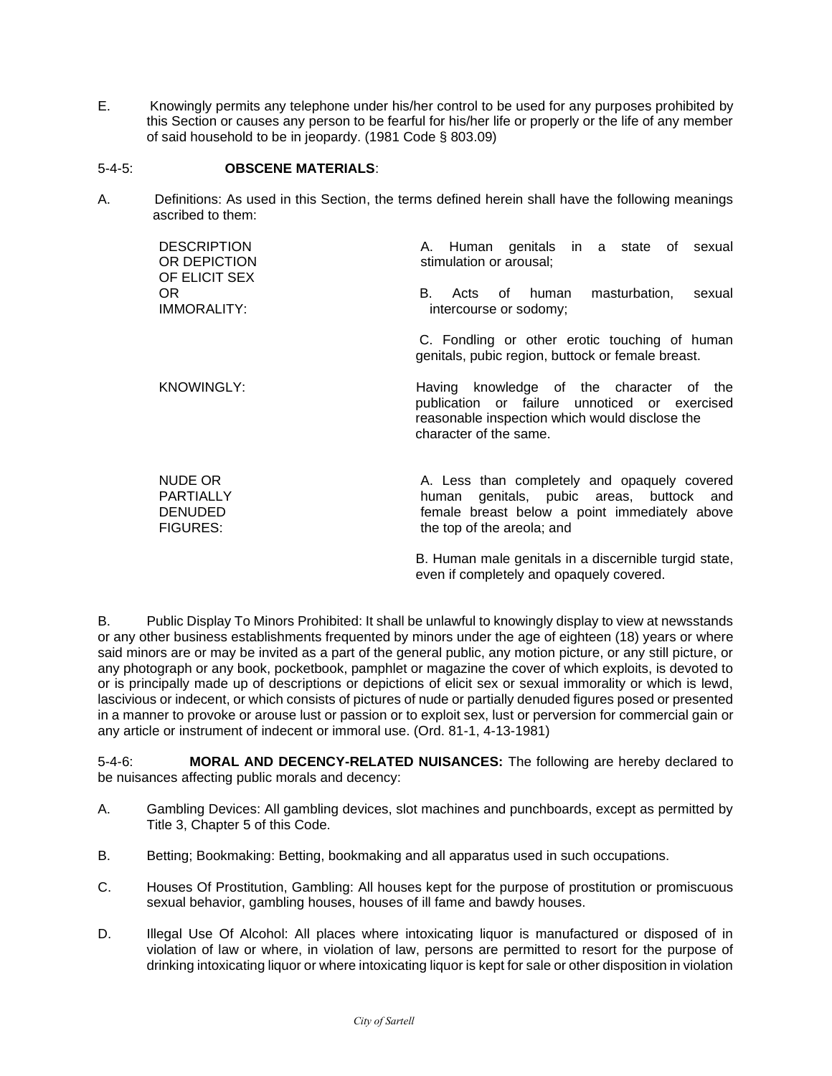E. Knowingly permits any telephone under his/her control to be used for any purposes prohibited by this Section or causes any person to be fearful for his/her life or properly or the life of any member of said household to be in jeopardy. (1981 Code § 803.09)

# 5-4-5: **OBSCENE MATERIALS**:

A. Definitions: As used in this Section, the terms defined herein shall have the following meanings ascribed to them:

| <b>DESCRIPTION</b><br>OR DEPICTION<br>OF ELICIT SEX              | A. Human genitals in a state of sexual<br>stimulation or arousal;                                                                                                          |
|------------------------------------------------------------------|----------------------------------------------------------------------------------------------------------------------------------------------------------------------------|
| OR.<br><b>IMMORALITY:</b>                                        | В.<br>masturbation,<br>Acts of human<br>sexual<br>intercourse or sodomy;                                                                                                   |
|                                                                  | C. Fondling or other erotic touching of human<br>genitals, pubic region, buttock or female breast.                                                                         |
| <b>KNOWINGLY:</b>                                                | knowledge of the character of the<br>Having<br>publication or failure unnoticed or exercised<br>reasonable inspection which would disclose the<br>character of the same.   |
| NUDE OR<br><b>PARTIALLY</b><br><b>DENUDED</b><br><b>FIGURES:</b> | A. Less than completely and opaquely covered<br>genitals, pubic areas, buttock and<br>human<br>female breast below a point immediately above<br>the top of the areola; and |
|                                                                  | B. Human male genitals in a discernible turgid state,                                                                                                                      |

even if completely and opaquely covered.

B. Public Display To Minors Prohibited: It shall be unlawful to knowingly display to view at newsstands or any other business establishments frequented by minors under the age of eighteen (18) years or where said minors are or may be invited as a part of the general public, any motion picture, or any still picture, or any photograph or any book, pocketbook, pamphlet or magazine the cover of which exploits, is devoted to or is principally made up of descriptions or depictions of elicit sex or sexual immorality or which is lewd, lascivious or indecent, or which consists of pictures of nude or partially denuded figures posed or presented in a manner to provoke or arouse lust or passion or to exploit sex, lust or perversion for commercial gain or any article or instrument of indecent or immoral use. (Ord. 81-1, 4-13-1981)

5-4-6: **MORAL AND DECENCY-RELATED NUISANCES:** The following are hereby declared to be nuisances affecting public morals and decency:

- A. Gambling Devices: All gambling devices, slot machines and punchboards, except as permitted by Title 3, Chapter 5 of this Code.
- B. Betting; Bookmaking: Betting, bookmaking and all apparatus used in such occupations.
- C. Houses Of Prostitution, Gambling: All houses kept for the purpose of prostitution or promiscuous sexual behavior, gambling houses, houses of ill fame and bawdy houses.
- D. Illegal Use Of Alcohol: All places where intoxicating liquor is manufactured or disposed of in violation of law or where, in violation of law, persons are permitted to resort for the purpose of drinking intoxicating liquor or where intoxicating liquor is kept for sale or other disposition in violation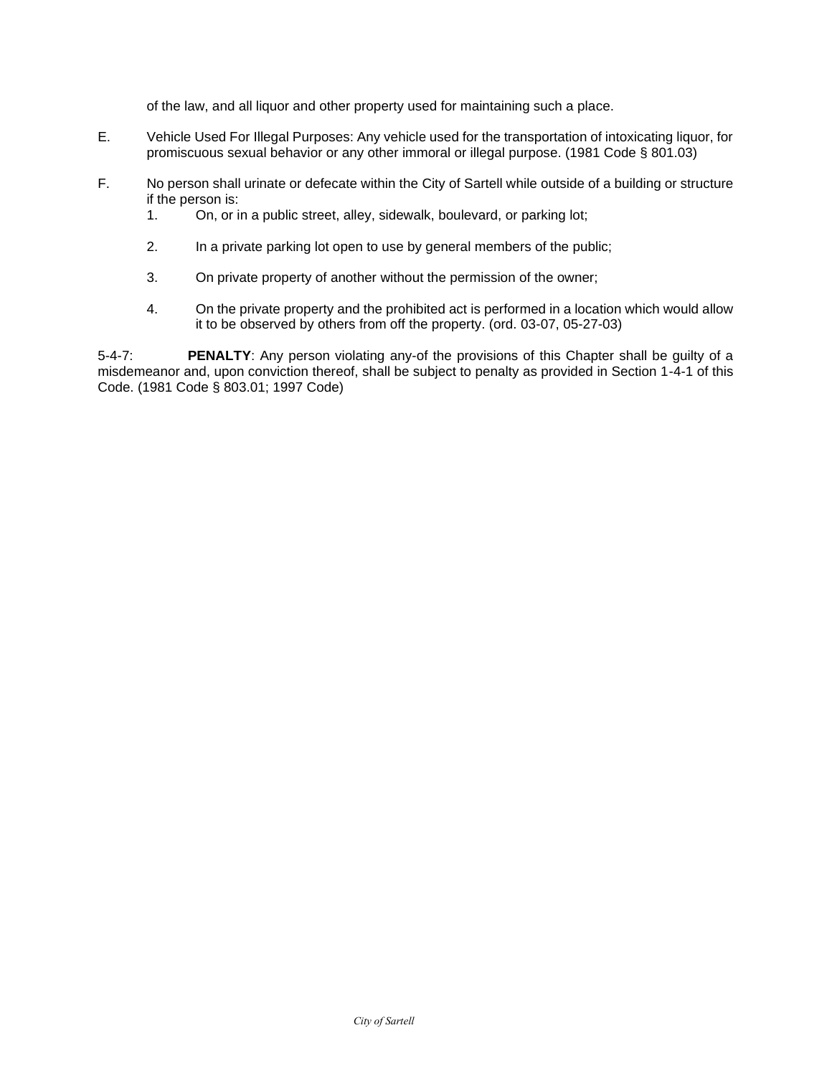of the law, and all liquor and other property used for maintaining such a place.

- E. Vehicle Used For Illegal Purposes: Any vehicle used for the transportation of intoxicating liquor, for promiscuous sexual behavior or any other immoral or illegal purpose. (1981 Code § 801.03)
- F. No person shall urinate or defecate within the City of Sartell while outside of a building or structure if the person is:
	- 1. On, or in a public street, alley, sidewalk, boulevard, or parking lot;
	- 2. In a private parking lot open to use by general members of the public;
	- 3. On private property of another without the permission of the owner;
	- 4. On the private property and the prohibited act is performed in a location which would allow it to be observed by others from off the property. (ord. 03-07, 05-27-03)

5-4-7: **PENALTY**: Any person violating any-of the provisions of this Chapter shall be guilty of a misdemeanor and, upon conviction thereof, shall be subject to penalty as provided in Section 1-4-1 of this Code. (1981 Code § 803.01; 1997 Code)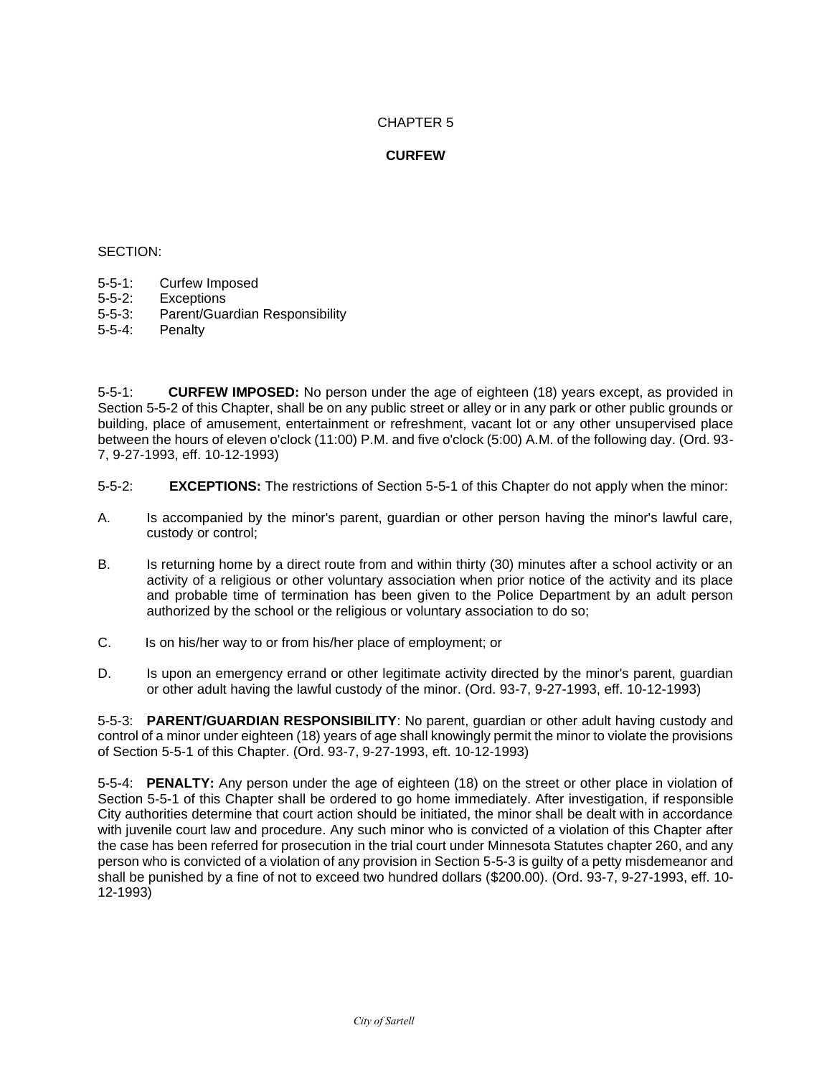# **CURFEW**

#### SECTION:

- 5-5-1: Curfew Imposed
- 5-5-2: Exceptions
- Parent/Guardian Responsibility
- 5-5-4: Penalty

5-5-1: **CURFEW IMPOSED:** No person under the age of eighteen (18) years except, as provided in Section 5-5-2 of this Chapter, shall be on any public street or alley or in any park or other public grounds or building, place of amusement, entertainment or refreshment, vacant lot or any other unsupervised place between the hours of eleven o'clock (11:00) P.M. and five o'clock (5:00) A.M. of the following day. (Ord. 93- 7, 9-27-1993, eff. 10-12-1993)

- 5-5-2: **EXCEPTIONS:** The restrictions of Section 5-5-1 of this Chapter do not apply when the minor:
- A. Is accompanied by the minor's parent, guardian or other person having the minor's lawful care, custody or control;
- B. Is returning home by a direct route from and within thirty (30) minutes after a school activity or an activity of a religious or other voluntary association when prior notice of the activity and its place and probable time of termination has been given to the Police Department by an adult person authorized by the school or the religious or voluntary association to do so;
- C. Is on his/her way to or from his/her place of employment; or
- D. Is upon an emergency errand or other legitimate activity directed by the minor's parent, guardian or other adult having the lawful custody of the minor. (Ord. 93-7, 9-27-1993, eff. 10-12-1993)

5-5-3: **PARENT/GUARDIAN RESPONSIBILITY**: No parent, guardian or other adult having custody and control of a minor under eighteen (18) years of age shall knowingly permit the minor to violate the provisions of Section 5-5-1 of this Chapter. (Ord. 93-7, 9-27-1993, eft. 10-12-1993)

5-5-4: **PENALTY:** Any person under the age of eighteen (18) on the street or other place in violation of Section 5-5-1 of this Chapter shall be ordered to go home immediately. After investigation, if responsible City authorities determine that court action should be initiated, the minor shall be dealt with in accordance with juvenile court law and procedure. Any such minor who is convicted of a violation of this Chapter after the case has been referred for prosecution in the trial court under Minnesota Statutes chapter 260, and any person who is convicted of a violation of any provision in Section 5-5-3 is guilty of a petty misdemeanor and shall be punished by a fine of not to exceed two hundred dollars (\$200.00). (Ord. 93-7, 9-27-1993, eff. 10- 12-1993)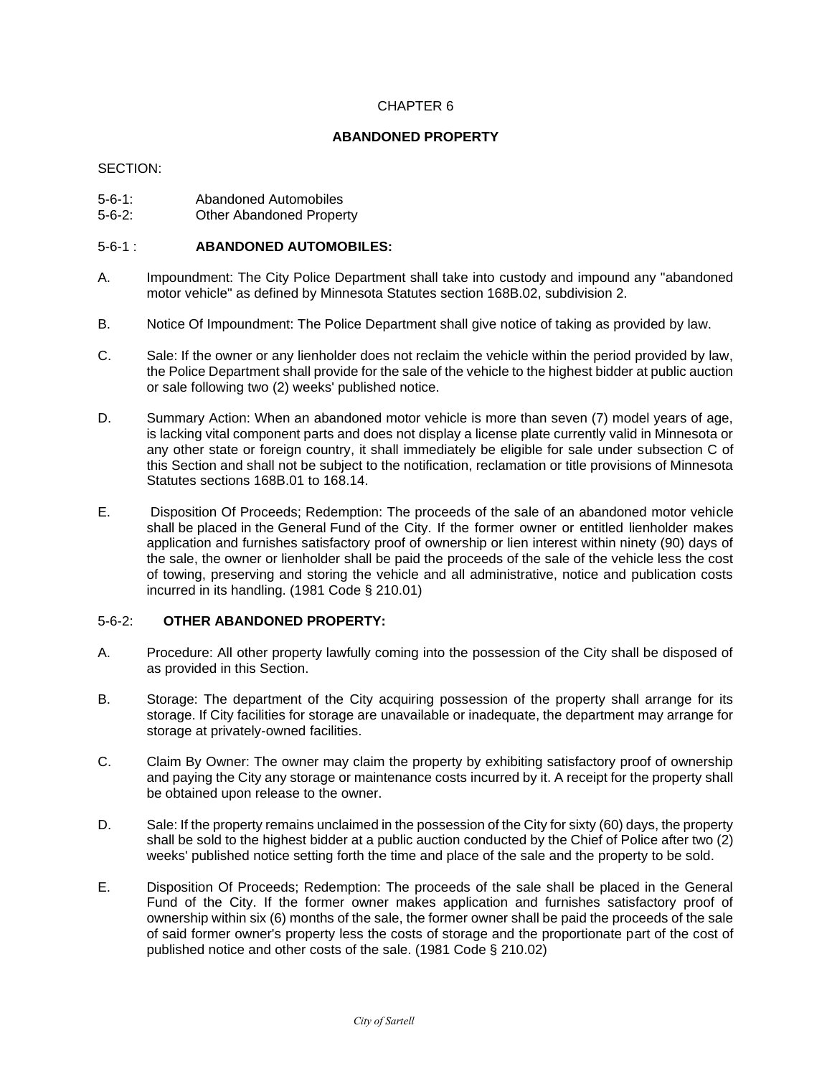# **ABANDONED PROPERTY**

#### SECTION:

- 5-6-1: Abandoned Automobiles
- 5-6-2: Other Abandoned Property

# 5-6-1 : **ABANDONED AUTOMOBILES:**

- A. Impoundment: The City Police Department shall take into custody and impound any "abandoned motor vehicle" as defined by Minnesota Statutes section 168B.02, subdivision 2.
- B. Notice Of Impoundment: The Police Department shall give notice of taking as provided by law.
- C. Sale: If the owner or any lienholder does not reclaim the vehicle within the period provided by law, the Police Department shall provide for the sale of the vehicle to the highest bidder at public auction or sale following two (2) weeks' published notice.
- D. Summary Action: When an abandoned motor vehicle is more than seven (7) model years of age, is lacking vital component parts and does not display a license plate currently valid in Minnesota or any other state or foreign country, it shall immediately be eligible for sale under subsection C of this Section and shall not be subject to the notification, reclamation or title provisions of Minnesota Statutes sections 168B.01 to 168.14.
- E. Disposition Of Proceeds; Redemption: The proceeds of the sale of an abandoned motor vehicle shall be placed in the General Fund of the City. If the former owner or entitled lienholder makes application and furnishes satisfactory proof of ownership or lien interest within ninety (90) days of the sale, the owner or lienholder shall be paid the proceeds of the sale of the vehicle less the cost of towing, preserving and storing the vehicle and all administrative, notice and publication costs incurred in its handling. (1981 Code § 210.01)

# 5-6-2: **OTHER ABANDONED PROPERTY:**

- A. Procedure: All other property lawfully coming into the possession of the City shall be disposed of as provided in this Section.
- B. Storage: The department of the City acquiring possession of the property shall arrange for its storage. If City facilities for storage are unavailable or inadequate, the department may arrange for storage at privately-owned facilities.
- C. Claim By Owner: The owner may claim the property by exhibiting satisfactory proof of ownership and paying the City any storage or maintenance costs incurred by it. A receipt for the property shall be obtained upon release to the owner.
- D. Sale: If the property remains unclaimed in the possession of the City for sixty (60) days, the property shall be sold to the highest bidder at a public auction conducted by the Chief of Police after two (2) weeks' published notice setting forth the time and place of the sale and the property to be sold.
- E. Disposition Of Proceeds; Redemption: The proceeds of the sale shall be placed in the General Fund of the City. If the former owner makes application and furnishes satisfactory proof of ownership within six (6) months of the sale, the former owner shall be paid the proceeds of the sale of said former owner's property less the costs of storage and the proportionate part of the cost of published notice and other costs of the sale. (1981 Code § 210.02)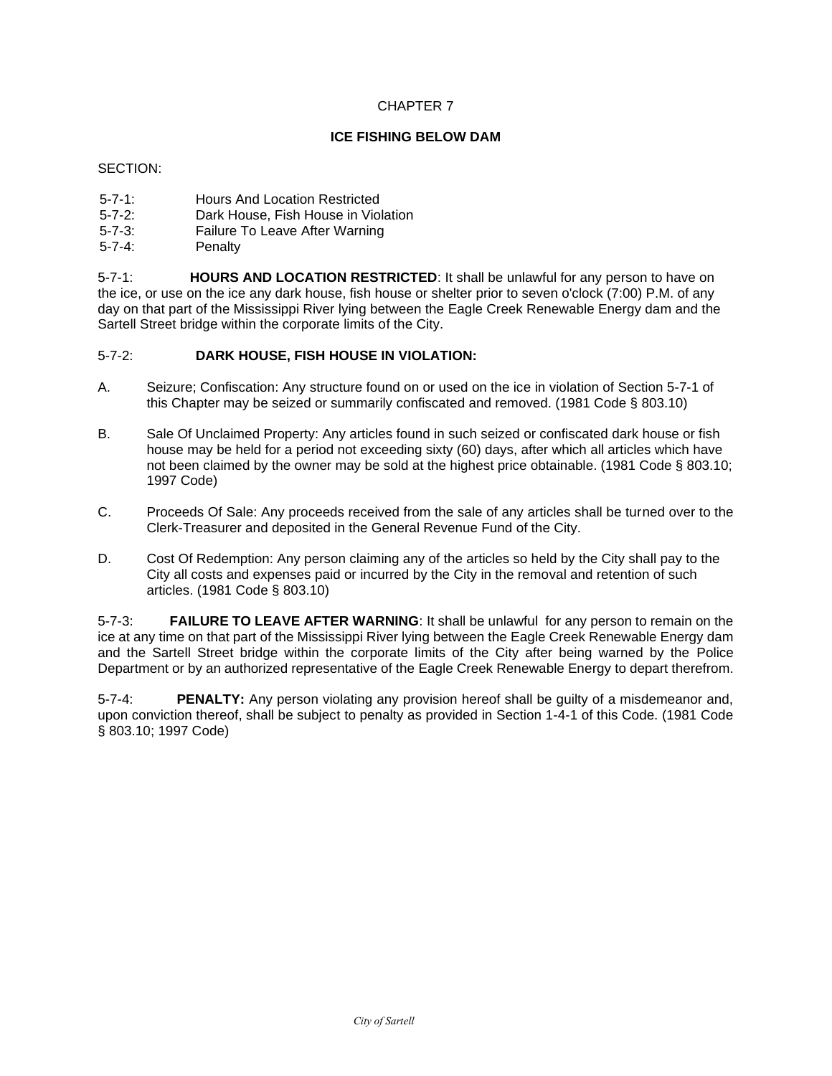# **ICE FISHING BELOW DAM**

#### SECTION:

- 5-7-1: Hours And Location Restricted
- 5-7-2: Dark House, Fish House in Violation
- 5-7-3: Failure To Leave After Warning
- Penalty

5-7-1: **HOURS AND LOCATION RESTRICTED**: It shall be unlawful for any person to have on the ice, or use on the ice any dark house, fish house or shelter prior to seven o'clock (7:00) P.M. of any day on that part of the Mississippi River lying between the Eagle Creek Renewable Energy dam and the Sartell Street bridge within the corporate limits of the City.

# 5-7-2: **DARK HOUSE, FISH HOUSE IN VIOLATION:**

- A. Seizure; Confiscation: Any structure found on or used on the ice in violation of Section 5-7-1 of this Chapter may be seized or summarily confiscated and removed. (1981 Code § 803.10)
- B. Sale Of Unclaimed Property: Any articles found in such seized or confiscated dark house or fish house may be held for a period not exceeding sixty (60) days, after which all articles which have not been claimed by the owner may be sold at the highest price obtainable. (1981 Code § 803.10; 1997 Code)
- C. Proceeds Of Sale: Any proceeds received from the sale of any articles shall be turned over to the Clerk-Treasurer and deposited in the General Revenue Fund of the City.
- D. Cost Of Redemption: Any person claiming any of the articles so held by the City shall pay to the City all costs and expenses paid or incurred by the City in the removal and retention of such articles. (1981 Code § 803.10)

5-7-3: **FAILURE TO LEAVE AFTER WARNING**: It shall be unlawful for any person to remain on the ice at any time on that part of the Mississippi River lying between the Eagle Creek Renewable Energy dam and the Sartell Street bridge within the corporate limits of the City after being warned by the Police Department or by an authorized representative of the Eagle Creek Renewable Energy to depart therefrom.

5-7-4: **PENALTY:** Any person violating any provision hereof shall be guilty of a misdemeanor and, upon conviction thereof, shall be subject to penalty as provided in Section 1-4-1 of this Code. (1981 Code § 803.10; 1997 Code)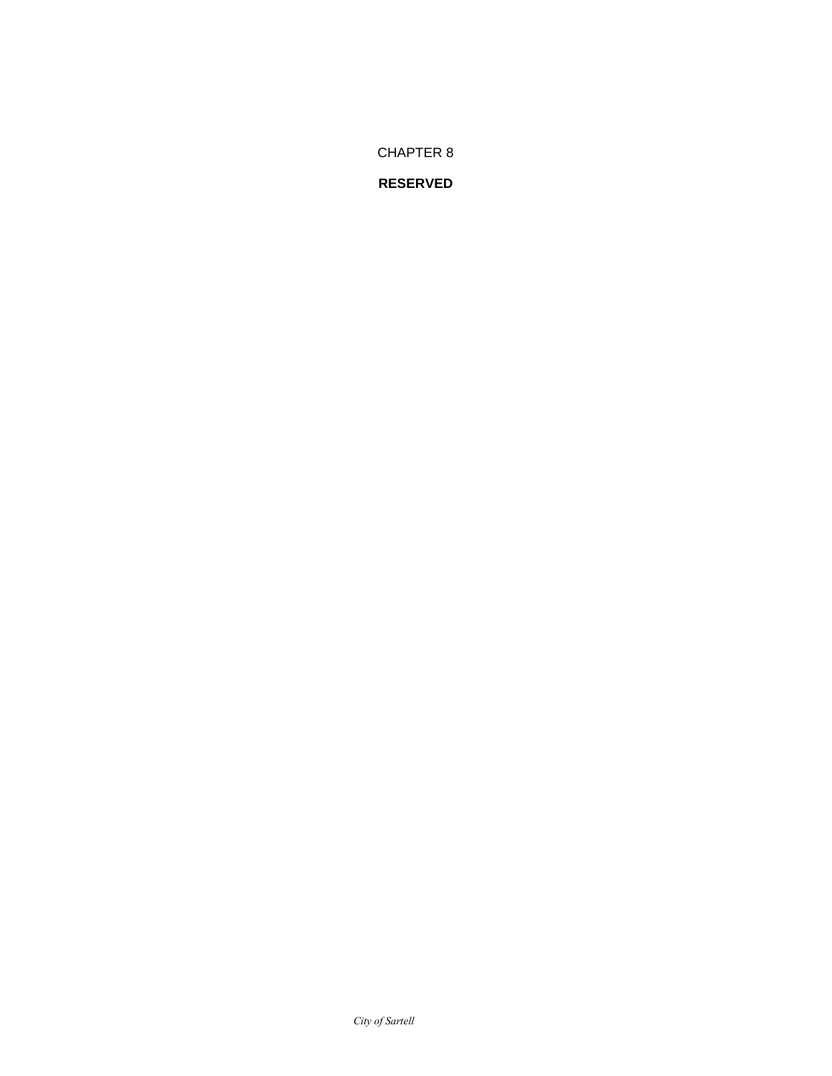#### *City of Sartell*

# **RESERVED**

CHAPTER 8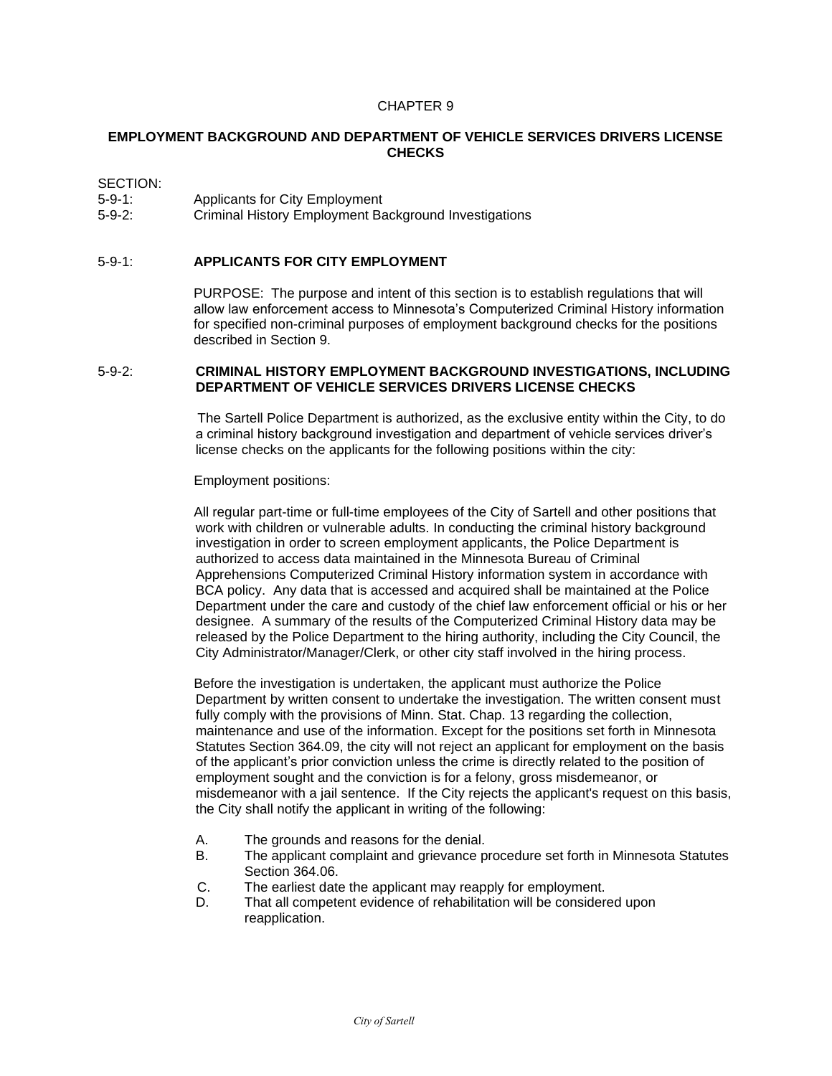# **EMPLOYMENT BACKGROUND AND DEPARTMENT OF VEHICLE SERVICES DRIVERS LICENSE CHECKS**

#### SECTION:

- 5-9-1: Applicants for City Employment
- 5-9-2: Criminal History Employment Background Investigations

# 5-9-1: **APPLICANTS FOR CITY EMPLOYMENT**

PURPOSE: The purpose and intent of this section is to establish regulations that will allow law enforcement access to Minnesota's Computerized Criminal History information for specified non-criminal purposes of employment background checks for the positions described in Section 9.

#### 5-9-2: **CRIMINAL HISTORY EMPLOYMENT BACKGROUND INVESTIGATIONS, INCLUDING DEPARTMENT OF VEHICLE SERVICES DRIVERS LICENSE CHECKS**

The Sartell Police Department is authorized, as the exclusive entity within the City, to do a criminal history background investigation and department of vehicle services driver's license checks on the applicants for the following positions within the city:

#### Employment positions:

All regular part-time or full-time employees of the City of Sartell and other positions that work with children or vulnerable adults. In conducting the criminal history background investigation in order to screen employment applicants, the Police Department is authorized to access data maintained in the Minnesota Bureau of Criminal Apprehensions Computerized Criminal History information system in accordance with BCA policy. Any data that is accessed and acquired shall be maintained at the Police Department under the care and custody of the chief law enforcement official or his or her designee. A summary of the results of the Computerized Criminal History data may be released by the Police Department to the hiring authority, including the City Council, the City Administrator/Manager/Clerk, or other city staff involved in the hiring process.

Before the investigation is undertaken, the applicant must authorize the Police Department by written consent to undertake the investigation. The written consent must fully comply with the provisions of Minn. Stat. Chap. 13 regarding the collection, maintenance and use of the information. Except for the positions set forth in Minnesota Statutes Section 364.09, the city will not reject an applicant for employment on the basis of the applicant's prior conviction unless the crime is directly related to the position of employment sought and the conviction is for a felony, gross misdemeanor, or misdemeanor with a jail sentence. If the City rejects the applicant's request on this basis, the City shall notify the applicant in writing of the following:

- A. The grounds and reasons for the denial.<br>B. The applicant complaint and grievance p
- The applicant complaint and grievance procedure set forth in Minnesota Statutes Section 364.06.
- C. The earliest date the applicant may reapply for employment.
- D. That all competent evidence of rehabilitation will be considered upon reapplication.